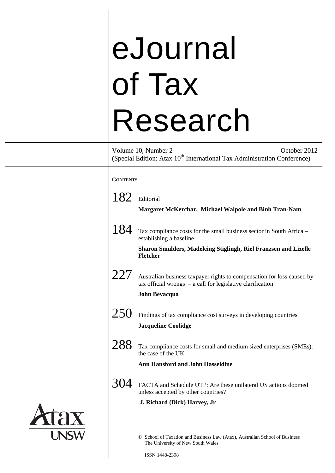# eJournal of Tax Research Volume 10, Number 2 October 2012 **(Special Edition: Atax 10<sup>th</sup> International Tax Administration Conference) CONTENTS**  182 Editorial **Margaret McKerchar, Michael Walpole and Binh Tran-Nam**  184 Tax compliance costs for the small business sector in South Africa – establishing a baseline **Sharon Smulders, Madeleing Stiglingh, Riel Franzsen and Lizelle Fletcher**   $227$  Australian business taxpayer rights to compensation for loss caused by tax official wrongs – a call for legislative clarification **John Bevacqua**   $250$  Findings of tax compliance cost surveys in developing countries **Jacqueline Coolidge**  288 Tax compliance costs for small and medium sized enterprises (SMEs): the case of the UK **Ann Hansford and John Hasseldine**  304 FACTA and Schedule UTP: Are these unilateral US actions doomed unless accepted by other countries?  **J. Richard (Dick) Harvey, Jr**  © School of Taxation and Business Law (Atax), Australian School of Business The University of New South Wales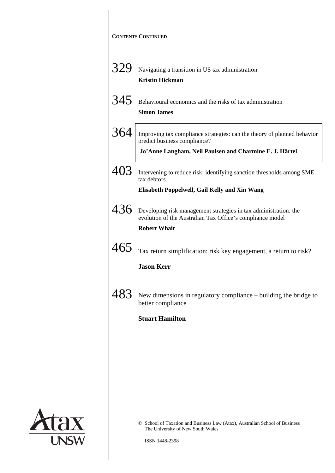|     | <b>CONTENTS CONTINUED</b>                                                                                                                                          |
|-----|--------------------------------------------------------------------------------------------------------------------------------------------------------------------|
| 329 | Navigating a transition in US tax administration<br><b>Kristin Hickman</b>                                                                                         |
| 345 | Behavioural economics and the risks of tax administration<br><b>Simon James</b>                                                                                    |
| 364 | Improving tax compliance strategies: can the theory of planned behavior<br>predict business compliance?<br>Jo'Anne Langham, Neil Paulsen and Charmine E. J. Härtel |
| 403 | Intervening to reduce risk: identifying sanction thresholds among SME<br>tax debtors<br>Elisabeth Poppelwell, Gail Kelly and Xin Wang                              |
| 436 | Developing risk management strategies in tax administration: the<br>evolution of the Australian Tax Office's compliance model<br><b>Robert Whait</b>               |
| 465 | Tax return simplification: risk key engagement, a return to risk?<br><b>Jason Kerr</b>                                                                             |
| 483 | New dimensions in regulatory compliance - building the bridge to<br>better compliance                                                                              |
|     | <b>Stuart Hamilton</b>                                                                                                                                             |
|     |                                                                                                                                                                    |
|     |                                                                                                                                                                    |
|     | © School of Taxation and Business Law (Atax), Australian School of Business<br>The University of New South Wales                                                   |

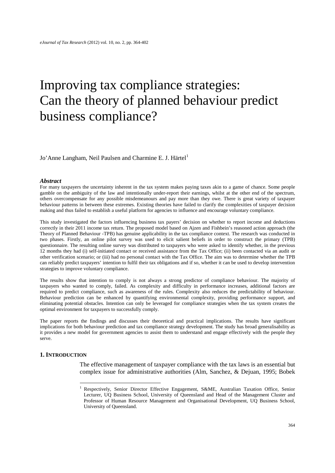# Improving tax compliance strategies: Can the theory of planned behaviour predict business compliance?

Jo'Anne Langham, Neil Paulsen and Charmine E. J. Härtel<sup>[1](#page-2-0)</sup>

#### *Abstract*

For many taxpayers the uncertainty inherent in the tax system makes paying taxes akin to a game of chance. Some people gamble on the ambiguity of the law and intentionally under-report their earnings, whilst at the other end of the spectrum, others overcompensate for any possible misdemeanours and pay more than they owe. There is great variety of taxpayer behaviour patterns in between these extremes. Existing theories have failed to clarify the complexities of taxpayer decision making and thus failed to establish a useful platform for agencies to influence and encourage voluntary compliance.

This study investigated the factors influencing business tax payers' decision on whether to report income and deductions correctly in their 2011 income tax return. The proposed model based on Ajzen and Fishbein's reasoned action approach (the Theory of Planned Behaviour -TPB) has genuine applicability in the tax compliance context. The research was conducted in two phases. Firstly, an online pilot survey was used to elicit salient beliefs in order to construct the primary (TPB) questionnaire. The resulting online survey was distributed to taxpayers who were asked to identify whether, in the previous 12 months they had (i) self-initiated contact or received assistance from the Tax Office; (ii) been contacted via an audit or other verification scenario; or (iii) had no personal contact with the Tax Office. The aim was to determine whether the TPB can reliably predict taxpayers' intention to fulfil their tax obligations and if so, whether it can be used to develop intervention strategies to improve voluntary compliance.

The results show that intention to comply is not always a strong predictor of compliance behaviour. The majority of taxpayers who wanted to comply, failed. As complexity and difficulty in performance increases, additional factors are required to predict compliance, such as awareness of the rules. Complexity also reduces the predictability of behaviour. Behaviour prediction can be enhanced by quantifying environmental complexity, providing performance support, and eliminating potential obstacles. Intention can only be leveraged for compliance strategies when the tax system creates the optimal environment for taxpayers to successfully comply.

The paper reports the findings and discusses their theoretical and practical implications. The results have significant implications for both behaviour prediction and tax compliance strategy development. The study has broad generalisability as it provides a new model for government agencies to assist them to understand and engage effectively with the people they serve.

#### <span id="page-2-1"></span><span id="page-2-0"></span>**1. INTRODUCTION**

The effective management of taxpayer compliance with the tax laws is an essential but complex issue for administrative authorities [\(Alm, Sanchez, & Dejuan, 1995;](#page-35-0) [Bobek](#page-36-0) 

<sup>&</sup>lt;sup>1</sup> Respectively, Senior Director Effective Engagement, S&ME, Australian Taxation Office, Senior Lecturer, UQ Business School, University of Queensland and Head of the Management Cluster and Professor of Human Resource Management and Organisational Development, UQ Business School, University of Queensland.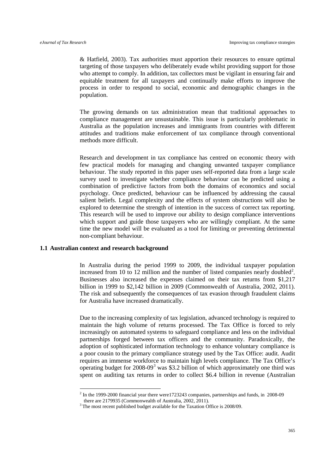& Hatfield, 2003). Tax authorities must apportion their resources to ensure optimal targeting of those taxpayers who deliberately evade whilst providing support for those who attempt to comply. In addition, tax collectors must be vigilant in ensuring fair and equitable treatment for all taxpayers and continually make efforts to improve the process in order to respond to social, economic and demographic changes in the population.

The growing demands on tax administration mean that traditional approaches to compliance management are unsustainable. This issue is particularly problematic in Australia as the population increases and immigrants from countries with different attitudes and traditions make enforcement of tax compliance through conventional methods more difficult.

Research and development in tax compliance has centred on economic theory with few practical models for managing and changing unwanted taxpayer compliance behaviour. The study reported in this paper uses self-reported data from a large scale survey used to investigate whether compliance behaviour can be predicted using a combination of predictive factors from both the domains of economics and social psychology. Once predicted, behaviour can be influenced by addressing the causal salient beliefs. Legal complexity and the effects of system obstructions will also be explored to determine the strength of intention in the success of correct tax reporting. This research will be used to improve our ability to design compliance interventions which support and guide those taxpayers who are willingly compliant. At the same time the new model will be evaluated as a tool for limiting or preventing detrimental non-compliant behaviour.

#### **1.1 Australian context and research background**

In Australia during the period 1999 to 2009, the individual taxpayer population increased from 10 to 1[2](#page-2-1) million and the number of listed companies nearly doubled<sup>2</sup>. Businesses also increased the expenses claimed on their tax returns from \$1,217 billion in 1999 to \$2,142 billion in 2009 [\(Commonwealth of Australia, 2002,](#page-36-1) [2011\)](#page-36-2). The risk and subsequently the consequences of tax evasion through fraudulent claims for Australia have increased dramatically.

Due to the increasing complexity of tax legislation, advanced technology is required to maintain the high volume of returns processed. The Tax Office is forced to rely increasingly on automated systems to safeguard compliance and less on the individual partnerships forged between tax officers and the community. Paradoxically, the adoption of sophisticated information technology to enhance voluntary compliance is a poor cousin to the primary compliance strategy used by the Tax Office: audit. Audit requires an immense workforce to maintain high levels compliance. The Tax Office's operating budget for  $2008-09<sup>3</sup>$  $2008-09<sup>3</sup>$  $2008-09<sup>3</sup>$  was \$3.2 billion of which approximately one third was spent on auditing tax returns in order to collect \$6.4 billion in revenue [\(Australian](#page-35-1) 

<span id="page-3-1"></span><sup>&</sup>lt;sup>2</sup> In the 1999-2000 financial year there were 1723243 companies, partnerships and funds, in 2008-09 there are 2179935 (Commonwealth of Australia, 2002, 2011).

<span id="page-3-0"></span> $3$  The most recent published budget available for the Taxation Office is 2008/09.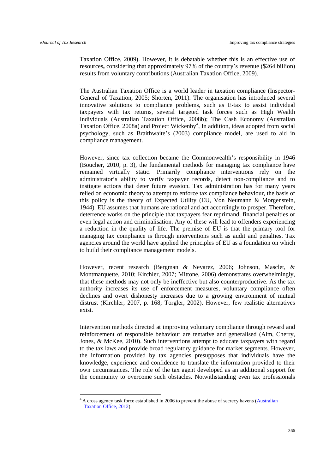Taxation Office, 2009). However, it is debatable whether this is an effective use of resources**,** considering that approximately 97% of the country's revenue (\$264 billion) results from voluntary contributions [\(Australian Taxation Office, 2009\)](#page-35-1).

The Australian Taxation Office is a world leader in taxation compliance [\(Inspector-](#page-37-0)[General of Taxation, 2005;](#page-37-0) [Shorten, 2011\)](#page-38-0). The organisation has introduced several innovative solutions to compliance problems, such as E-tax to assist individual taxpayers with tax returns, several targeted task forces such as High Wealth Individuals [\(Australian Taxation Office, 2008b\)](#page-35-2); The Cash Economy [\(Australian](#page-35-3)  [Taxation Office, 2008a\)](#page-35-3) and Project Wickenby<sup>[4](#page-3-1)</sup>, In addition, ideas adopted from social psychology, such as Braithwaite's [\(2003\)](#page-36-3) compliance model, are used to aid in compliance management.

However, since tax collection became the Commonwealth's responsibility in 1946 [\(Boucher, 2010, p. 3\)](#page-36-4), the fundamental methods for managing tax compliance have remained virtually static. Primarily compliance interventions rely on the administrator's ability to verify taxpayer records, detect non-compliance and to instigate actions that deter future evasion. Tax administration has for many years relied on economic theory to attempt to enforce tax compliance behaviour, the basis of this policy is the theory of Expected Utility [\(EU, Von Neumann & Morgenstein,](#page-39-0)  [1944\)](#page-39-0). EU assumes that humans are rational and act accordingly to prosper. Therefore, deterrence works on the principle that taxpayers fear reprimand, financial penalties or even legal action and criminalisation. Any of these will lead to offenders experiencing a reduction in the quality of life. The premise of EU is that the primary tool for managing tax compliance is through interventions such as audit and penalties. Tax agencies around the world have applied the principles of EU as a foundation on which to build their compliance management models.

However, recent research [\(Bergman & Nevarez, 2006;](#page-36-5) [Johnson, Masclet, &](#page-37-1)  [Montmarquette, 2010;](#page-37-1) [Kirchler, 2007;](#page-37-2) [Mittone, 2006\)](#page-38-1) demonstrates overwhelmingly, that these methods may not only be ineffective but also counterproductive. As the tax authority increases its use of enforcement measures, voluntary compliance often declines and overt dishonesty increases due to a growing environment of mutual distrust [\(Kirchler, 2007, p. 168;](#page-37-2) [Torgler, 2002\)](#page-39-1). However, few realistic alternatives exist.

Intervention methods directed at improving voluntary compliance through reward and reinforcement of responsible behaviour are tentative and generalised [\(Alm, Cherry,](#page-35-4)  [Jones, & McKee, 2010\)](#page-35-4). Such interventions attempt to educate taxpayers with regard to the tax laws and provide broad regulatory guidance for market segments. However, the information provided by tax agencies presupposes that individuals have the knowledge, experience and confidence to translate the information provided to their own circumstances. The role of the tax agent developed as an additional support for the community to overcome such obstacles. Notwithstanding even tax professionals

<span id="page-4-0"></span><sup>&</sup>lt;sup>4</sup> A cross agency task force established in 2006 to prevent the abuse of secrecy havens (*Australian*) [Taxation Office, 2012\)](#page-35-5).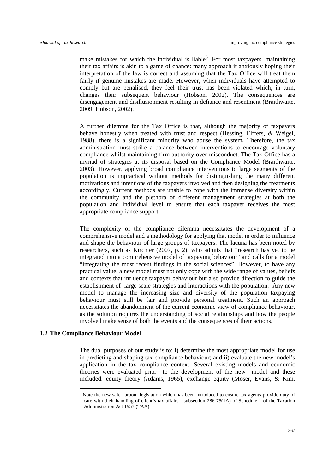make mistakes for which the individual is liable<sup>[5](#page-4-0)</sup>. For most taxpayers, maintaining their tax affairs is akin to a game of chance: many approach it anxiously hoping their interpretation of the law is correct and assuming that the Tax Office will treat them fairly if genuine mistakes are made. However, when individuals have attempted to comply but are penalised, they feel their trust has been violated which, in turn, changes their subsequent behaviour [\(Hobson, 2002\)](#page-37-3). The consequences are disengagement and disillusionment resulting in defiance and resentment [\(Braithwaite,](#page-36-6)  [2009;](#page-36-6) [Hobson, 2002\)](#page-37-3).

A further dilemma for the Tax Office is that, although the majority of taxpayers behave honestly when treated with trust and respect [\(Hessing, Elffers, & Weigel,](#page-37-4)  [1988\)](#page-37-4), there is a significant minority who abuse the system**.** Therefore, the tax administration must strike a balance between interventions to encourage voluntary compliance whilst maintaining firm authority over misconduct. The Tax Office has a myriad of strategies at its disposal based on the Compliance Model [\(Braithwaite,](#page-36-3)  [2003\)](#page-36-3). However, applying broad compliance interventions to large segments of the population is impractical without methods for distinguishing the many different motivations and intentions of the taxpayers involved and then designing the treatments accordingly. Current methods are unable to cope with the immense diversity within the community and the plethora of different management strategies at both the population and individual level to ensure that each taxpayer receives the most appropriate compliance support.

The complexity of the compliance dilemma necessitates the development of a comprehensive model and a methodology for applying that model in order to influence and shape the behaviour of large groups of taxpayers. The lacuna has been noted by researchers, such as Kirchler [\(2007, p. 2\)](#page-37-2), who admits that "research has yet to be integrated into a comprehensive model of taxpaying behaviour" and calls for a model "integrating the most recent findings in the social sciences". However, to have any practical value, a new model must not only cope with the wide range of values, beliefs and contexts that influence taxpayer behaviour but also provide direction to guide the establishment of large scale strategies and interactions with the population. Any new model to manage the increasing size and diversity of the population taxpaying behaviour must still be fair and provide personal treatment. Such an approach necessitates the abandonment of the current economic view of compliance behaviour, as the solution requires the understanding of social relationships and how the people involved make sense of both the events and the consequences of their actions.

#### <span id="page-5-0"></span>**1.2 The Compliance Behaviour Model**

The dual purposes of our study is to: i) determine the most appropriate model for use in predicting and shaping tax compliance behaviour; and ii) evaluate the new model's application in the tax compliance context. Several existing models and economic theories were evaluated prior to the development of the new model and these included: equity theory [\(Adams, 1965\)](#page-34-0); exchange equity [\(Moser, Evans, & Kim,](#page-38-2) 

 <sup>5</sup> Note the new safe harbour legislation which has been introduced to ensure tax agents provide duty of care with their handling of client's tax affairs - subsection 286-75(1A) of Schedule 1 of the Taxation Administration Act 1953 (TAA).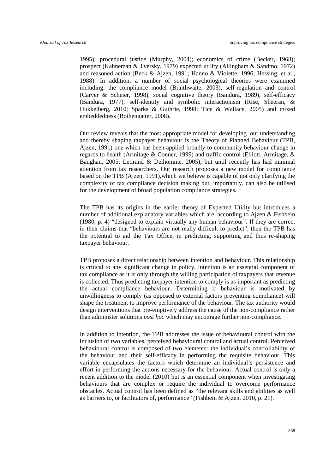1995); procedural justice [\(Murphy, 2004\)](#page-38-3); economics of crime [\(Becker, 1968\)](#page-35-6); prospect [\(Kahneman & Tversky, 1979\)](#page-37-5) expected utility [\(Allingham & Sandmo, 1972\)](#page-34-1) and reasoned action [\(Beck & Ajzen, 1991;](#page-35-7) [Hanno & Violette, 1996;](#page-37-6) [Hessing, et al.,](#page-37-4)  [1988\)](#page-37-4). In addition, a number of social psychological theories were examined including: the compliance model [\(Braithwaite, 2003\)](#page-36-3), self-regulation and control [\(Carver & Scheier, 1998\)](#page-36-7), social cognitive theory [\(Bandura, 1989\)](#page-35-8), self-efficacy [\(Bandura, 1977\)](#page-35-9), self-identity and symbolic interactionism [\(Rise, Sheeran, &](#page-38-4)  [Hukkelberg, 2010;](#page-38-4) [Sparks & Guthrie, 1998;](#page-38-5) [Tice & Wallace, 2005\)](#page-39-2) and mixed embeddedness [\(Rothengatter, 2008\)](#page-38-6).

Our review reveals that the most appropriate model for developing our understanding and thereby shaping taxpayer behaviour is the Theory of Planned Behaviour [\(TPB,](#page-34-2)  [Ajzen, 1991\)](#page-34-2) one which has been applied broadly to community behaviour change in regards to health [\(Armitage & Conner, 1999\)](#page-35-10) and traffic control [\(Elliott, Armitage, &](#page-36-8)  [Baughan, 2005;](#page-36-8) [Letirand & Delhomme, 2005\)](#page-38-7), but until recently has had minimal attention from tax researchers. Our research proposes a new model for compliance based on the TPB [\(Ajzen, 1991\)](#page-34-2),which we believe is capable of not only clarifying the complexity of tax compliance decision making but, importantly, can also be utilised for the development of broad population compliance strategies.

The TPB has its origins in the earlier theory of Expected Utility but introduces a number of additional explanatory variables which are, according to Ajzen & Fishbein [\(1980, p. 4\)](#page-34-3) "designed to explain virtually any human behaviour". If they are correct in their claims that "behaviours are not really difficult to predict", then the TPB has the potential to aid the Tax Office, in predicting, supporting and thus re-shaping taxpayer behaviour.

TPB proposes a direct relationship between intention and behaviour. This relationship is critical to any significant change in policy. Intention is an essential component of tax compliance as it is only through the willing participation of taxpayers that revenue is collected. Thus predicting taxpayer intention to comply is as important as predicting the actual compliance behaviour. Determining if behaviour is motivated by unwillingness to comply (as opposed to external factors preventing compliance) will shape the treatment to improve performance of the behaviour. The tax authority would design interventions that pre-emptively address the cause of the non-compliance rather than administer solutions *post hoc* which may encourage further non-compliance.

In addition to intention, the TPB addresses the issue of behavioural control with the inclusion of two variables, perceived behavioural control and actual control. Perceived behavioural control is composed of two elements: the individual's controllability of the behaviour and their self-efficacy in performing the requisite behaviour. This variable encapsulates the factors which determine an individual's persistence and effort in performing the actions necessary for the behaviour. Actual control is only a recent addition to the model (2010) but is an essential component when investigating behaviours that are complex or require the individual to overcome performance obstacles. Actual control has been defined as "the relevant skills and abilities as well as barriers to, or facilitators of, performance" [\(Fishbein & Ajzen, 2010, p. 21\)](#page-36-9).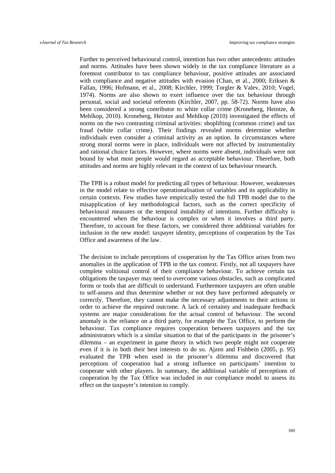Further to perceived behavioural control, intention has two other antecedents: attitudes and norms. Attitudes have been shown widely in the tax compliance literature as a foremost contributor to tax compliance behaviour, positive attitudes are associated with compliance and negative attitudes with evasion [\(Chan, et al., 2000;](#page-39-3) Eriksen  $\&$ Fallan, 1996; Hofmann, et al., 2008; Kirchler, 1999; Torgler & Valev, 2010; Vogel, 1974). Norms are also shown to exert influence over the tax behaviour through personal, social and societal referents [\(Kirchler, 2007, pp. 58-72\)](#page-37-2). Norms have also been considered a strong contributor to white collar crime [\(Kroneberg, Heintze, &](#page-38-8)  [Mehlkop, 2010\)](#page-38-8). Kroneberg, Heintze and Mehlkop [\(2010\)](#page-38-8) investigated the effects of norms on the two contrasting criminal activities: shoplifting (common crime) and tax fraud (white collar crime). Their findings revealed norms determine whether individuals even consider a criminal activity as an option. In circumstances where strong moral norms were in place, individuals were not affected by instrumentality and rational choice factors. However, where norms were absent, individuals were not bound by what most people would regard as acceptable behaviour. Therefore, both attitudes and norms are highly relevant in the context of tax behaviour research.

The TPB is a robust model for predicting all types of behaviour. However, weaknesses in the model relate to effective operationalisation of variables and its applicability in certain contexts. Few studies have empirically tested the full TPB model due to the misapplication of key methodological factors, such as the correct specificity of behavioural measures or the temporal instability of intentions. Further difficulty is encountered when the behaviour is complex or when it involves a third party. Therefore, to account for these factors, we considered three additional variables for inclusion in the new model: taxpayer identity, perceptions of cooperation by the Tax Office and awareness of the law.

The decision to include perceptions of cooperation by the Tax Office arises from two anomalies in the application of TPB in the tax context. Firstly, not all taxpayers have complete volitional control of their compliance behaviour. To achieve certain tax obligations the taxpayer may need to overcome various obstacles, such as complicated forms or tools that are difficult to understand. Furthermore taxpayers are often unable to self-assess and thus determine whether or not they have performed adequately or correctly. Therefore, they cannot make the necessary adjustments to their actions in order to achieve the required outcome. A lack of certainty and inadequate feedback systems are major considerations for the actual control of behaviour. The second anomaly is the reliance on a third party, for example the Tax Office, to perform the behaviour. Tax compliance requires cooperation between taxpayers and the tax administrators which is a similar situation to that of the participants in the prisoner's dilemma – an experiment in game theory in which two people might not cooperate even if it is in both their best interests to do so. Ajzen and Fishbein [\(2005, p. 95\)](#page-34-4) evaluated the TPB when used in the prisoner's dilemma and discovered that perceptions of cooperation had a strong influence on participants' intention to cooperate with other players. In summary, the additional variable of perceptions of cooperation by the Tax Office was included in our compliance model to assess its effect on the taxpayer's intention to comply.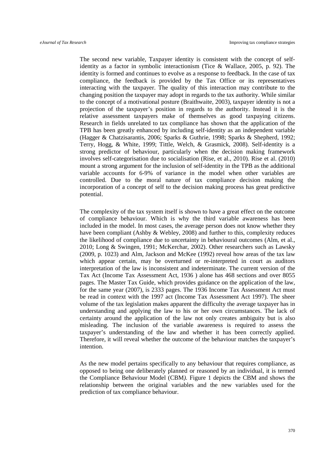The second new variable, Taxpayer identity is consistent with the concept of selfidentity as a factor in symbolic interactionism [\(Tice & Wallace, 2005, p. 92\)](#page-39-2). The identity is formed and continues to evolve as a response to feedback. In the case of tax compliance, the feedback is provided by the Tax Office or its representatives interacting with the taxpayer. The quality of this interaction may contribute to the changing position the taxpayer may adopt in regards to the tax authority. While similar to the concept of a motivational posture [\(Braithwaite, 2003\)](#page-36-3), taxpayer identity is not a projection of the taxpayer's position in regards to the authority. Instead it is the relative assessment taxpayers make of themselves as good taxpaying citizens. Research in fields unrelated to tax compliance has shown that the application of the TPB has been greatly enhanced by including self-identity as an independent variable [\(Hagger & Chatzisarantis, 2006;](#page-37-7) [Sparks & Guthrie, 1998;](#page-38-5) [Sparks & Shepherd, 1992;](#page-38-9) [Terry, Hogg, & White, 1999;](#page-39-3) [Tittle, Welch, & Grasmick, 2008\)](#page-39-4). Self-identity is a strong predictor of behaviour, particularly when the decision making framework involves self-categorisation due to socialisation [\(Rise, et al., 2010\)](#page-38-4). Rise et al. [\(2010\)](#page-38-4) mount a strong argument for the inclusion of self-identity in the TPB as the additional variable accounts for 6-9% of variance in the model when other variables are controlled. Due to the moral nature of tax compliance decision making the incorporation of a concept of self to the decision making process has great predictive potential.

The complexity of the tax system itself is shown to have a great effect on the outcome of compliance behaviour. Which is why the third variable awareness has been included in the model. In most cases, the average person does not know whether they have been compliant [\(Ashby & Webley, 2008\)](#page-35-11) and further to this, complexity reduces the likelihood of compliance due to uncertainty in behavioural outcomes [\(Alm, et al.,](#page-35-4)  [2010;](#page-35-4) [Long & Swingen, 1991;](#page-38-10) [McKerchar, 2002\)](#page-38-11). Other researchers such as Lawsky [\(2009, p. 1023\)](#page-38-12) and Alm, Jackson and McKee [\(1992\)](#page-35-12) reveal how areas of the tax law which appear certain, may be overturned or re-interpreted in court as auditors interpretation of the law is inconsistent and indeterminate. The current version of the Tax Act [\(Income Tax Assessment Act, 1936 \)](#page-37-8) alone has 468 sections and over 8055 pages. The Master Tax Guide, which provides guidance on the application of the law, for the same year (2007), is 2333 pages. The 1936 Income Tax Assessment Act must be read in context with the 1997 act [\(Income Tax Assessment Act 1997\)](#page-37-9). The sheer volume of the tax legislation makes apparent the difficulty the average taxpayer has in understanding and applying the law to his or her own circumstances. The lack of certainty around the application of the law not only creates ambiguity but is also misleading. The inclusion of the variable awareness is required to assess the taxpayer's understanding of the law and whether it has been correctly applied. Therefore, it will reveal whether the outcome of the behaviour matches the taxpayer's intention.

As the new model pertains specifically to any behaviour that requires compliance, as opposed to being one deliberately planned or reasoned by an individual, it is termed the Compliance Behaviour Model (CBM*).* Figure 1 depicts the CBM and shows the relationship between the original variables and the new variables used for the prediction of tax compliance behaviour.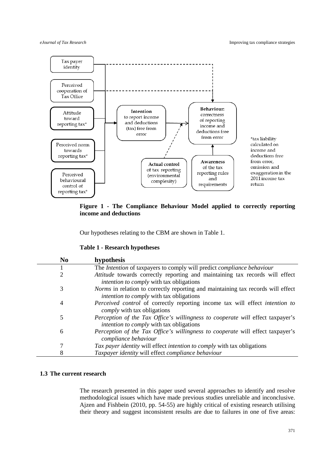

**Figure 1 - The Compliance Behaviour Model applied to correctly reporting income and deductions**

Our hypotheses relating to the CBM are shown in Table 1.

|  |  |  | <b>Table 1 - Research hypotheses</b> |
|--|--|--|--------------------------------------|
|--|--|--|--------------------------------------|

| N <sub>0</sub> | hypothesis                                                                                                                                 |
|----------------|--------------------------------------------------------------------------------------------------------------------------------------------|
|                | The Intention of taxpayers to comply will predict compliance behaviour                                                                     |
| 2              | Attitude towards correctly reporting and maintaining tax records will effect<br><i>intention to comply with tax obligations</i>            |
| 3              | <i>Norms</i> in relation to correctly reporting and maintaining tax records will effect<br><i>intention to comply with tax obligations</i> |
| 4              | Perceived control of correctly reporting income tax will effect intention to<br><i>comply</i> with tax obligations                         |
| 5              | Perception of the Tax Office's willingness to cooperate will effect taxpayer's<br><i>intention to comply with tax obligations</i>          |
| 6              | Perception of the Tax Office's willingness to cooperate will effect taxpayer's<br>compliance behaviour                                     |
| 7              | Tax payer identity will effect intention to comply with tax obligations                                                                    |
| 8              | Taxpayer identity will effect compliance behaviour                                                                                         |

# **1.3 The current research**

The research presented in this paper used several approaches to identify and resolve methodological issues which have made previous studies unreliable and inconclusive. Ajzen and Fishbein [\(2010, pp. 54-55\)](#page-36-9) are highly critical of existing research utilising their theory and suggest inconsistent results are due to failures in one of five areas: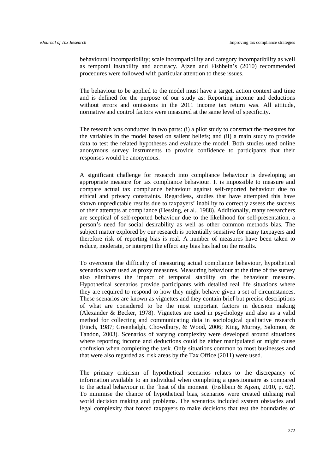behavioural incompatibility; scale incompatibility and category incompatibility as well as temporal instability and accuracy. Ajzen and Fishbein's [\(2010\)](#page-36-9) recommended procedures were followed with particular attention to these issues.

The behaviour to be applied to the model must have a target, action context and time and is defined for the purpose of our study as: Reporting income and deductions without errors and omissions in the 2011 income tax return was. All attitude, normative and control factors were measured at the same level of specificity.

The research was conducted in two parts: (i) a pilot study to construct the measures for the variables in the model based on salient beliefs; and (ii) a main study to provide data to test the related hypotheses and evaluate the model. Both studies used online anonymous survey instruments to provide confidence to participants that their responses would be anonymous.

A significant challenge for research into compliance behaviour is developing an appropriate measure for tax compliance behaviour. It is impossible to measure and compare actual tax compliance behaviour against self-reported behaviour due to ethical and privacy constraints. Regardless, studies that have attempted this have shown unpredictable results due to taxpayers' inability to correctly assess the success of their attempts at compliance [\(Hessing, et al., 1988\)](#page-37-4). Additionally, many researchers are sceptical of self-reported behaviour due to the likelihood for self-presentation, a person's need for social desirability as well as other common methods bias. The subject matter explored by our research is potentially sensitive for many taxpayers and therefore risk of reporting bias is real. A number of measures have been taken to reduce, moderate, or interpret the effect any bias has had on the results.

To overcome the difficulty of measuring actual compliance behaviour, hypothetical scenarios were used as proxy measures. Measuring behaviour at the time of the survey also eliminates the impact of temporal stability on the behaviour measure. Hypothetical scenarios provide participants with detailed real life situations where they are required to respond to how they might behave given a set of circumstances. These scenarios are known as vignettes and they contain brief but precise descriptions of what are considered to be the most important factors in decision making (Alexander [& Becker, 1978\)](#page-34-5). Vignettes are used in psychology and also as a valid method for collecting and communicating data in sociological qualitative research [\(Finch, 1987;](#page-36-10) [Greenhalgh, Chowdhury, & Wood, 2006;](#page-37-10) [King, Murray, Salomon, &](#page-37-11)  [Tandon, 2003\)](#page-37-11). Scenarios of varying complexity were developed around situations where reporting income and deductions could be either manipulated or might cause confusion when completing the task. Only situations common to most businesses and that were also regarded as risk areas by the Tax Office [\(2011\)](#page-35-13) were used.

The primary criticism of hypothetical scenarios relates to the discrepancy of information available to an individual when completing a questionnaire as compared to the actual behaviour in the 'heat of the moment' [\(Fishbein & Ajzen, 2010, p. 62\)](#page-36-9). To minimise the chance of hypothetical bias, scenarios were created utilising real world decision making and problems. The scenarios included system obstacles and legal complexity that forced taxpayers to make decisions that test the boundaries of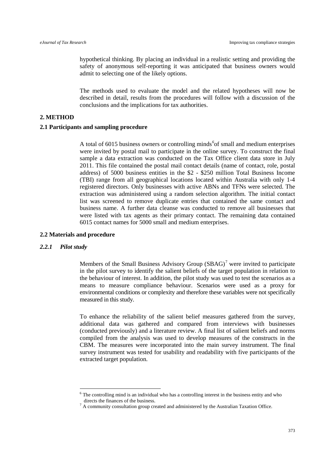hypothetical thinking. By placing an individual in a realistic setting and providing the safety of anonymous self-reporting it was anticipated that business owners would admit to selecting one of the likely options.

The methods used to evaluate the model and the related hypotheses will now be described in detail, results from the procedures will follow with a discussion of the conclusions and the implications for tax authorities.

#### **2. METHOD**

#### **2.1 Participants and sampling procedure**

A total of [6](#page-5-0)015 business owners or controlling minds<sup>6</sup> of small and medium enterprises were invited by postal mail to participate in the online survey. To construct the final sample a data extraction was conducted on the Tax Office client data store in July 2011. This file contained the postal mail contact details (name of contact, role, postal address) of 5000 business entities in the \$2 - \$250 million Total Business Income (TBI) range from all geographical locations located within Australia with only 1-4 registered directors. Only businesses with active ABNs and TFNs were selected. The extraction was administered using a random selection algorithm. The initial contact list was screened to remove duplicate entries that contained the same contact and business name. A further data cleanse was conducted to remove all businesses that were listed with tax agents as their primary contact. The remaining data contained 6015 contact names for 5000 small and medium enterprises.

#### **2.2 Materials and procedure**

#### *2.2.1 Pilot study*

Members of the Small Business Advisory Group  $(SBAG)^7$  $(SBAG)^7$  were invited to participate in the pilot survey to identify the salient beliefs of the target population in relation to the behaviour of interest. In addition, the pilot study was used to test the scenarios as a means to measure compliance behaviour. Scenarios were used as a proxy for environmental conditions or complexity and therefore these variables were not specifically measured in this study.

To enhance the reliability of the salient belief measures gathered from the survey, additional data was gathered and compared from interviews with businesses (conducted previously) and a literature review. A final list of salient beliefs and norms compiled from the analysis was used to develop measures of the constructs in the CBM. The measures were incorporated into the main survey instrument. The final survey instrument was tested for usability and readability with five participants of the extracted target population.

<span id="page-11-1"></span><span id="page-11-0"></span> $6$  The controlling mind is an individual who has a controlling interest in the business entity and who directs the finances of the business.<br><sup>7</sup> A community consultation group created and administered by the Australian Taxation Office.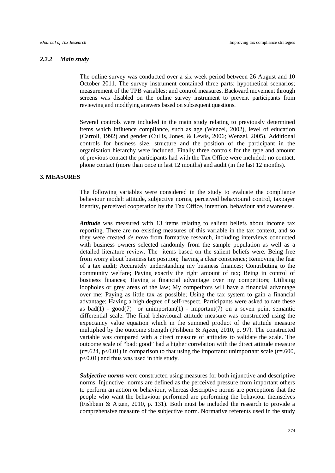#### *2.2.2 Main study*

The online survey was conducted over a six week period between 26 August and 10 October 2011. The survey instrument contained three parts: hypothetical scenarios; measurement of the TPB variables; and control measures. Backward movement through screens was disabled on the online survey instrument to prevent participants from reviewing and modifying answers based on subsequent questions.

Several controls were included in the main study relating to previously determined items which influence compliance, such as age [\(Wenzel, 2002\)](#page-39-5), level of education [\(Carroll, 1992\)](#page-36-11) and gender [\(Cullis, Jones, & Lewis, 2006;](#page-36-12) [Wenzel, 2005\)](#page-39-6). Additional controls for business size, structure and the position of the participant in the organisation hierarchy were included. Finally three controls for the type and amount of previous contact the participants had with the Tax Office were included: no contact, phone contact (more than once in last 12 months) and audit (in the last 12 months).

# **3. MEASURES**

The following variables were considered in the study to evaluate the compliance behaviour model: attitude, subjective norms, perceived behavioural control, taxpayer identity, perceived cooperation by the Tax Office, intention, behaviour and awareness.

*Attitude* was measured with 13 items relating to salient beliefs about income tax reporting. There are no existing measures of this variable in the tax context, and so they were created *de novo* from formative research, including interviews conducted with business owners selected randomly from the sample population as well as a detailed literature review. The items based on the salient beliefs were: Being free from worry about business tax position; having a clear conscience; Removing the fear of a tax audit; Accurately understanding my business finances; Contributing to the community welfare; Paying exactly the right amount of tax; Being in control of business finances; Having a financial advantage over my competitors; Utilising loopholes or grey areas of the law; My competitors will have a financial advantage over me; Paying as little tax as possible; Using the tax system to gain a financial advantage; Having a high degree of self-respect. Participants were asked to rate these as bad(1) - good(7) or unimportant(1) - important(7) on a seven point semantic differential scale. The final behavioural attitude measure was constructed using the expectancy value equation which in the summed product of the attitude measure multiplied by the outcome strength [\(Fishbein & Ajzen,](#page-36-9) 2010, p. 97). The constructed variable was compared with a direct measure of attitudes to validate the scale. The outcome scale of "bad: good" had a higher correlation with the direct attitude measure  $(r=.624, p<0.01)$  in comparison to that using the important: unimportant scale  $(r=.600, p<sub>0</sub>)$ p<0.01) and thus was used in this study.

*Subjective norms* were constructed using measures for both injunctive and descriptive norms. Injunctive norms are defined as the perceived pressure from important others to perform an action or behaviour, whereas descriptive norms are perceptions that the people who want the behaviour performed are performing the behaviour themselves [\(Fishbein & Ajzen, 2010, p. 131\)](#page-36-9). Both must be included the research to provide a comprehensive measure of the subjective norm. Normative referents used in the study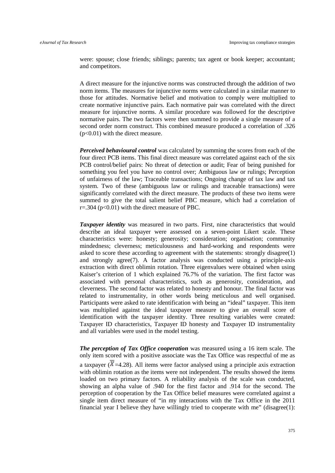were: spouse; close friends; siblings; parents; tax agent or book keeper; accountant; and competitors.

A direct measure for the injunctive norms was constructed through the addition of two norm items. The measures for injunctive norms were calculated in a similar manner to those for attitudes. Normative belief and motivation to comply were multiplied to create normative injunctive pairs. Each normative pair was correlated with the direct measure for injunctive norms. A similar procedure was followed for the descriptive normative pairs. The two factors were then summed to provide a single measure of a second order norm construct. This combined measure produced a correlation of .326 (p<0.01) with the direct measure.

*Perceived behavioural control* was calculated by summing the scores from each of the four direct PCB items. This final direct measure was correlated against each of the six PCB control/belief pairs: No threat of detection or audit; Fear of being punished for something you feel you have no control over; Ambiguous law or rulings; Perception of unfairness of the law; Traceable transactions; Ongoing change of tax law and tax system. Two of these (ambiguous law or rulings and traceable transactions) were significantly correlated with the direct measure. The products of these two items were summed to give the total salient belief PBC measure, which had a correlation of  $r = .304$  ( $p < 0.01$ ) with the direct measure of PBC.

*Taxpayer identity* was measured in two parts. First, nine characteristics that would describe an ideal taxpayer were assessed on a seven-point Likert scale. These characteristics were: honesty; generosity; consideration; organisation; community mindedness; cleverness; meticulousness and hard-working and respondents were asked to score these according to agreement with the statements: strongly disagree(1) and strongly agree(7). A factor analysis was conducted using a principle-axis extraction with direct oblimin rotation. Three eigenvalues were obtained when using Kaiser's criterion of 1 which explained 76.7% of the variation. The first factor was associated with personal characteristics, such as generosity, consideration, and cleverness. The second factor was related to honesty and honour. The final factor was related to instrumentality, in other words being meticulous and well organised. Participants were asked to rate identification with being an "ideal" taxpayer. This item was multiplied against the ideal taxpayer measure to give an overall score of identification with the taxpayer identity. Three resulting variables were created: Taxpayer ID characteristics, Taxpayer ID honesty and Taxpayer ID instrumentality and all variables were used in the model testing.

*The perception of Tax Office cooperation* was measured using a 16 item scale. The only item scored with a positive associate was the Tax Office was respectful of me as a taxpayer ( $X=4.28$ ). All items were factor analysed using a principle axis extraction with oblimin rotation as the items were not independent. The results showed the items loaded on two primary factors. A reliability analysis of the scale was conducted, showing an alpha value of .940 for the first factor and .914 for the second. The perception of cooperation by the Tax Office belief measures were correlated against a single item direct measure of "in my interactions with the Tax Office in the 2011 financial year I believe they have willingly tried to cooperate with me" (disagree(1):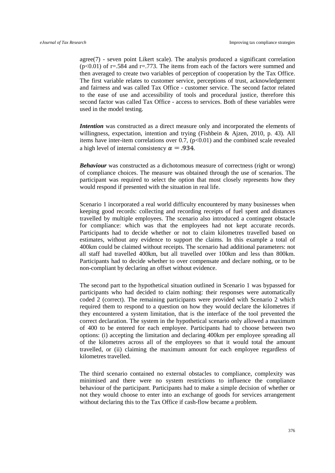agree(7) - seven point Likert scale). The analysis produced a significant correlation  $(p<0.01)$  of r=.584 and r=.773. The items from each of the factors were summed and then averaged to create two variables of perception of cooperation by the Tax Office. The first variable relates to customer service, perceptions of trust, acknowledgement and fairness and was called Tax Office - customer service. The second factor related to the ease of use and accessibility of tools and procedural justice, therefore this second factor was called Tax Office - access to services. Both of these variables were used in the model testing.

*Intention* was constructed as a direct measure only and incorporated the elements of willingness, expectation, intention and trying [\(Fishbein & Ajzen, 2010, p. 43\)](#page-36-9). All items have inter-item correlations over 0.7,  $(p<0.01)$  and the combined scale revealed a high level of internal consistency  $\alpha = .934$ .

**Behaviour** was constructed as a dichotomous measure of correctness (right or wrong) of compliance choices. The measure was obtained through the use of scenarios. The participant was required to select the option that most closely represents how they would respond if presented with the situation in real life.

Scenario 1 incorporated a real world difficulty encountered by many businesses when keeping good records: collecting and recording receipts of fuel spent and distances travelled by multiple employees. The scenario also introduced a contingent obstacle for compliance: which was that the employees had not kept accurate records. Participants had to decide whether or not to claim kilometres travelled based on estimates, without any evidence to support the claims. In this example a total of 400km could be claimed without receipts. The scenario had additional parameters: not all staff had travelled 400km, but all travelled over 100km and less than 800km. Participants had to decide whether to over compensate and declare nothing, or to be non-compliant by declaring an offset without evidence.

The second part to the hypothetical situation outlined in Scenario 1 was bypassed for participants who had decided to claim nothing: their responses were automatically coded 2 (correct). The remaining participants were provided with Scenario 2 which required them to respond to a question on how they would declare the kilometres if they encountered a system limitation, that is the interface of the tool prevented the correct declaration. The system in the hypothetical scenario only allowed a maximum of 400 to be entered for each employee. Participants had to choose between two options: (i) accepting the limitation and declaring 400km per employee spreading all of the kilometres across all of the employees so that it would total the amount travelled, or (ii) claiming the maximum amount for each employee regardless of kilometres travelled.

The third scenario contained no external obstacles to compliance, complexity was minimised and there were no system restrictions to influence the compliance behaviour of the participant. Participants had to make a simple decision of whether or not they would choose to enter into an exchange of goods for services arrangement without declaring this to the Tax Office if cash-flow became a problem.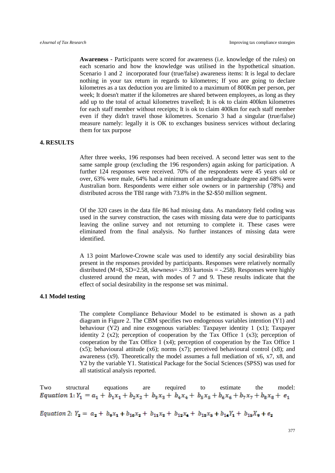**Awareness -** Participants were scored for awareness (i.e. knowledge of the rules) on each scenario and how the knowledge was utilised in the hypothetical situation. Scenario 1 and 2 incorporated four (true/false) awareness items: It is legal to declare nothing in your tax return in regards to kilometres; If you are going to declare kilometres as a tax deduction you are limited to a maximum of 800Km per person, per week; It doesn't matter if the kilometres are shared between employees, as long as they add up to the total of actual kilometres travelled; It is ok to claim 400km kilometres for each staff member without receipts; It is ok to claim 400km for each staff member even if they didn't travel those kilometres. Scenario 3 had a singular (true/false) measure namely: legally it is OK to exchanges business services without declaring them for tax purpose

#### **4. RESULTS**

After three weeks, 196 responses had been received. A second letter was sent to the same sample group (excluding the 196 responders) again asking for participation. A further 124 responses were received. 70% of the respondents were 45 years old or over, 63% were male, 64% had a minimum of an undergraduate degree and 68% were Australian born. Respondents were either sole owners or in partnership (78%) and distributed across the TBI range with 73.8% in the \$2-\$50 million segment.

Of the 320 cases in the data file 86 had missing data. As mandatory field coding was used in the survey construction, the cases with missing data were due to participants leaving the online survey and not returning to complete it. These cases were eliminated from the final analysis. No further instances of missing data were identified.

A 13 point Marlowe-Crowne scale was used to identify any social desirability bias present in the responses provided by participants. Responses were relatively normally distributed (M=8, SD=2.58, skewness= -.393 kurtosis = -.258). Responses were highly clustered around the mean, with modes of 7 and 9. These results indicate that the effect of social desirability in the response set was minimal.

# **4.1 Model testing**

The complete Compliance Behaviour Model to be estimated is shown as a path diagram in Figure 2. The CBM specifies two endogenous variables intention (Y1) and behaviour (Y2) and nine exogenous variables: Taxpayer identity 1 (x1); Taxpayer identity 2  $(x2)$ ; perception of cooperation by the Tax Office 1  $(x3)$ ; perception of cooperation by the Tax Office 1 (x4); perception of cooperation by the Tax Office 1 (x5); behavioural attitude (x6); norms (x7); perceived behavioural control (x8); and awareness (x9). Theoretically the model assumes a full mediation of x6, x7, x8, and Y2 by the variable Y1. Statistical Package for the Social Sciences (SPSS) was used for all statistical analysis reported.

Two structural equations are required to estimate the model:<br>
Equation 1:  $Y_1 = a_1 + b_1x_1 + b_2x_2 + b_3x_3 + b_4x_4 + b_5x_5 + b_6x_6 + b_7x_7 + b_8x_8 + e_1$ 

Equation 2:  $Y_2 = a_2 + b_2x_1 + b_{10}x_2 + b_{11}x_3 + b_{12}x_4 + b_{13}x_5 + b_{14}Y_1 + b_{15}X_9 + e_2$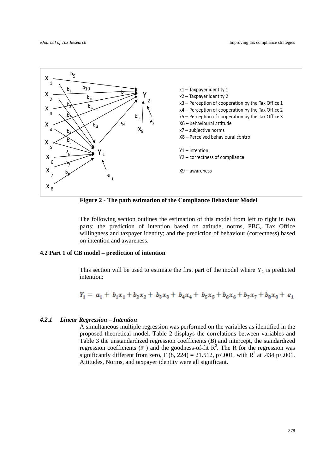

**Figure 2 - The path estimation of the Compliance Behaviour Model**

The following section outlines the estimation of this model from left to right in two parts: the prediction of intention based on attitude, norms, PBC, Tax Office willingness and taxpayer identity; and the prediction of behaviour (correctness) based on intention and awareness.

#### **4.2 Part 1 of CB model – prediction of intention**

This section will be used to estimate the first part of the model where  $Y_1$  is predicted intention:

$$
Y_1 = a_1 + b_1x_1 + b_2x_2 + b_3x_3 + b_4x_4 + b_5x_5 + b_6x_6 + b_7x_7 + b_8x_8 + e_1
$$

#### *4.2.1 Linear Regression – Intention*

A simultaneous multiple regression was performed on the variables as identified in the proposed theoretical model. Table 2 displays the correlations between variables and Table 3 the unstandardized regression coefficients (*B*) and intercept, the standardized regression coefficients  $(\mathbb{F})$  and the goodness-of-fit  $\mathbb{R}^2$ . The R for the regression was significantly different from zero, F (8, 224) = 21.512, p < .001, with  $R^2$  at .434 p < .001. Attitudes, Norms, and taxpayer identity were all significant.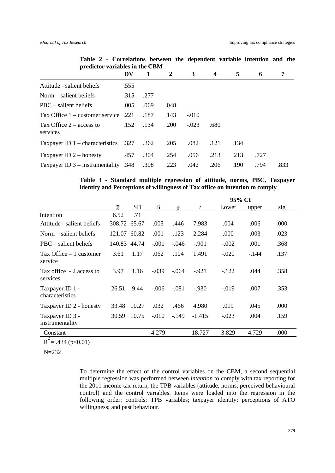|                                        | DV   | -1   | $\overline{2}$ | 3       | $\overline{\mathbf{4}}$ | 5    | 6    |      |
|----------------------------------------|------|------|----------------|---------|-------------------------|------|------|------|
| Attitude - salient beliefs             | .555 |      |                |         |                         |      |      |      |
| Norm $-$ salient beliefs               | .315 | .277 |                |         |                         |      |      |      |
| $PBC - salient beliefs$                | .005 | .069 | .048           |         |                         |      |      |      |
| Tax Office $1$ – customer service .221 |      | .187 | .143           | $-.010$ |                         |      |      |      |
| Tax Office $2 -$ access to<br>services | .152 | .134 | .200           | $-.023$ | .680                    |      |      |      |
| Taxpayer ID $1$ – characteristics .327 |      | .362 | .205           | .082    | .121                    | .134 |      |      |
| Taxpayer ID $2$ – honesty              | .457 | .304 | .254           | .056    | .213                    | .213 | .727 |      |
| Taxpayer ID $3$ – instrumentality .348 |      | .308 | .223           | .042    | .206                    | .190 | .794 | .833 |

**Table 2 - Correlations between the dependent variable intention and the predictor variables in the CBM**

# **Table 3 - Standard multiple regression of attitude, norms, PBC, Taxpayer identity and Perceptions of willingness of Tax office on intention to comply**

|                                       |                          |           |         |         |                | 95% CI  |        |      |
|---------------------------------------|--------------------------|-----------|---------|---------|----------------|---------|--------|------|
|                                       | $\overline{\mathcal{R}}$ | <b>SD</b> | B       | G       | $\mathfrak{t}$ | Lower   | upper  | sig  |
| Intention                             | 6.52                     | .71       |         |         |                |         |        |      |
| Attitude - salient beliefs            | 308.72 65.67             |           | .005    | .446    | 7.983          | .004    | .006   | .000 |
| Norm $-$ salient beliefs              | 121.07                   | 60.82     | .001    | .123    | 2.284          | .000    | .003   | .023 |
| $PBC - salient beliefs$               | 140.83                   | 44.74     | $-.001$ | $-.046$ | $-.901$        | $-.002$ | .001   | .368 |
| $Tax$ Office $-1$ customer<br>service | 3.61                     | 1.17      | .062    | .104    | 1.491          | $-.020$ | $-144$ | .137 |
| Tax office - 2 access to<br>services  | 3.97                     | 1.16      | $-.039$ | $-.064$ | $-921$         | $-122$  | .044   | .358 |
| Taxpayer ID 1 -<br>characteristics    | 26.51                    | 9.44      | $-.006$ | $-.081$ | $-930$         | $-.019$ | .007   | .353 |
| Taxpayer ID 2 - honesty               | 33.48                    | 10.27     | .032    | .466    | 4.980          | .019    | .045   | .000 |
| Taxpayer ID 3 -<br>instrumentality    | 30.59                    | 10.75     | $-.010$ | $-149$  | $-1.415$       | $-.023$ | .004   | .159 |
| Constant                              |                          |           | 4.279   |         | 18.727         | 3.829   | 4.729  | .000 |

 $R^2$  = .434 (p<0.01)

N=232

To determine the effect of the control variables on the CBM, a second sequential multiple regression was performed between *intention* to comply with tax reporting for the 2011 income tax return, the TPB variables (attitude, norms, perceived behavioural control) and the control variables. Items were loaded into the regression in the following order: controls; TPB variables; taxpayer identity; perceptions of ATO willingness; and past behaviour.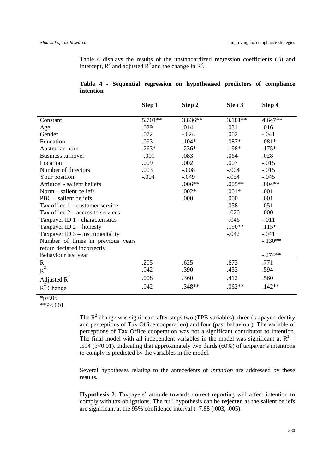Table 4 displays the results of the unstandardized regression coefficients (B) and intercept,  $R^2$  and adjusted  $R^2$  and the change in  $R^2$ .

|           |  | Table 4 - Sequential regression on hypothesised predictors of compliance |  |  |
|-----------|--|--------------------------------------------------------------------------|--|--|
| intention |  |                                                                          |  |  |

|                                     | Step 1  | Step 2   | Step 3    | Step 4    |
|-------------------------------------|---------|----------|-----------|-----------|
| Constant                            | 5.701** | 3.836**  | $3.181**$ | 4.647**   |
|                                     | .029    | .014     | .031      | .016      |
| Age<br>Gender                       | .072    | $-.024$  | .002      | $-.041$   |
| Education                           | .093    | $.104*$  | $.087*$   | $.081*$   |
|                                     |         |          |           |           |
| Australian born                     | $.263*$ | $.236*$  | .198*     | $.175*$   |
| <b>Business turnover</b>            | $-.001$ | .083     | .064      | .028      |
| Location                            | .009    | .002     | .007      | $-0.015$  |
| Number of directors                 | .003    | $-.008$  | $-.004$   | $-0.015$  |
| Your position                       | $-.004$ | $-.049$  | $-.054$   | $-0.045$  |
| Attitude - salient beliefs          |         | $.006**$ | $.005**$  | $.004**$  |
| Norm – salient beliefs              |         | $.002*$  | $.001*$   | .001      |
| $PBC - salient beliefs$             |         | .000     | .000      | .001      |
| Tax office 1 – customer service     |         |          | .058      | .051      |
| Tax office $2 -$ access to services |         |          | $-.020$   | .000      |
| Taxpayer ID 1 - characteristics     |         |          | $-0.046$  | $-.011$   |
| Taxpayer ID $2$ – honesty           |         |          | $.190**$  | $.115*$   |
| Taxpayer ID $3$ – instrumentality   |         |          | $-.042$   | $-.041$   |
| Number of times in previous years   |         |          |           | $-.130**$ |
| return declared incorrectly         |         |          |           |           |
| Behaviour last year                 |         |          |           | $-.274**$ |
| $\mathbf R$                         | .205    | .625     | .673      | .771      |
| $R^2$                               | .042    | .390     | .453      | .594      |
| Adjusted R                          | .008    | .360     | .412      | .560      |
| $R^2$ Change                        | .042    | .348**   | $.062**$  | $.142**$  |

# $*p<.05$

 $*$  $P < 001$ 

The  $R^2$  change was significant after steps two (TPB variables), three (taxpayer identity and perceptions of Tax Office cooperation) and four (past behaviour). The variable of perceptions of Tax Office cooperation was not a significant contributor to intention. The final model with all independent variables in the model was significant at  $R^2$  = .594 ( $p<0.01$ ). Indicating that approximately two thirds (60%) of taxpayer's intentions to comply is predicted by the variables in the model.

Several hypotheses relating to the antecedents of *intention* are addressed by these results.

**Hypothesis 2**: Taxpayers' attitude towards correct reporting will affect intention to comply with tax obligations. The null hypothesis can be **rejected** as the salient beliefs are significant at the 95% confidence interval t=7.88 (.003, .005).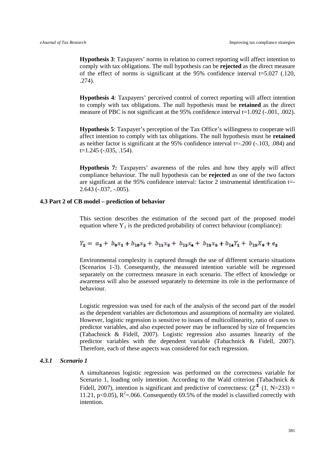**Hypothesis 3**: Taxpayers' norms in relation to correct reporting will affect intention to comply with tax obligations. The null hypothesis can be **rejected** as the direct measure of the effect of norms is significant at the 95% confidence interval t=5.027 (.120, .274).

**Hypothesis 4**: Taxpayers' perceived control of correct reporting will affect intention to comply with tax obligations. The null hypothesis must be **retained** as the direct measure of PBC is not significant at the 95% confidence interval t=1.092 (-.001, .002).

**Hypothesis 5**: Taxpayer's perception of the Tax Office's willingness to cooperate will affect intention to comply with tax obligations. The null hypothesis must be **retained**  as neither factor is significant at the 95% confidence interval t=-.200 (-.103, .084) and t=1.245 (-.035, .154).

**Hypothesis 7:** Taxpayers' awareness of the rules and how they apply will affect compliance behaviour. The null hypothesis can be **rejected** as one of the two factors are significant at the 95% confidence interval: factor 2 instrumental identification t=- 2.643 (-.037, -.005).

#### **4.3 Part 2 of CB model – prediction of behavior**

This section describes the estimation of the second part of the proposed model equation where  $Y_2$  is the predicted probability of correct behaviour (compliance):

$$
Y_2 = a_2 + b_9x_1 + b_{10}x_2 + b_{11}x_3 + b_{12}x_4 + b_{13}x_5 + b_{14}Y_1 + b_{15}X_9 + e_2
$$

Environmental complexity is captured through the use of different scenario situations (Scenarios 1-3). Consequently, the measured intention variable will be regressed separately on the correctness measure in each scenario. The effect of knowledge or awareness will also be assessed separately to determine its role in the performance of behaviour.

Logistic regression was used for each of the analysis of the second part of the model as the dependent variables are dichotomous and assumptions of normality are violated. However, logistic regression is sensitive to issues of multicollinearity, ratio of cases to predictor variables, and also expected power may be influenced by size of frequencies [\(Tabachnick & Fidell, 2007\)](#page-38-13). Logistic regression also assumes linearity of the predictor variables with the dependent variable [\(Tabachnick & Fidell, 2007\)](#page-38-13). Therefore, each of these aspects was considered for each regression.

#### *4.3.1 Scenario 1*

A simultaneous logistic regression was performed on the correctness variable for Scenario 1, loading only intention. According to the Wald criterion [\(Tabachnick &](#page-38-13)  [Fidell, 2007\)](#page-38-13), intention is significant and predictive of correctness:  $(\chi^2 (1, N=233))$  = 11.21, p<0.05),  $R^2$ =.066. Consequently 69.5% of the model is classified correctly with intention.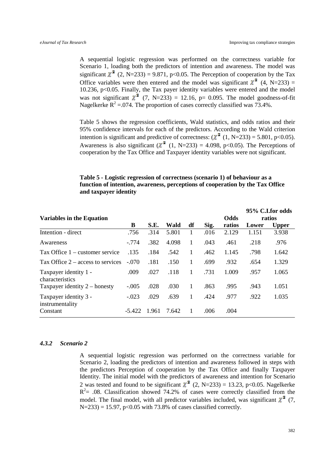A sequential logistic regression was performed on the correctness variable for Scenario 1, loading both the predictors of intention and awareness. The model was significant  $\chi^2$  (2, N=233) = 9.871, p<0.05. The Perception of cooperation by the Tax Office variables were then entered and the model was significant  $\chi^2$  (4, N=233) = 10.236, p<0.05. Finally, the Tax payer identity variables were entered and the model was not significant  $\chi^2$  (7, N=233) = 12.16, p= 0.095. The model goodness-of-fit Nagelkerke  $R^2 = 074$ . The proportion of cases correctly classified was 73.4%.

Table 5 shows the regression coefficients, Wald statistics, and odds ratios and their 95% confidence intervals for each of the predictors. According to the Wald criterion intention is significant and predictive of correctness:  $(\chi^2 (1, N=233) = 5.801, p<0.05)$ . Awareness is also significant ( $\chi^2$  (1, N=233) = 4.098, p<0.05). The Perceptions of cooperation by the Tax Office and Taxpayer identity variables were not significant.

# **Table 5 - Logistic regression of correctness (scenario 1) of behaviour as a function of intention, awareness, perceptions of cooperation by the Tax Office and taxpayer identity**

| <b>Variables in the Equation</b>         |          |       |       |    |      | <b>Odds</b> |       | 95% C.I.for odds<br>ratios |
|------------------------------------------|----------|-------|-------|----|------|-------------|-------|----------------------------|
|                                          | B        | S.E.  | Wald  | df | Sig. | ratios      | Lower | <b>Upper</b>               |
| Intention - direct                       | .756     | .314  | 5.801 | 1  | .016 | 2.129       | 1.151 | 3.938                      |
| Awareness                                | $-.774$  | .382  | 4.098 | 1  | .043 | .461        | .218  | .976                       |
| Tax Office 1 – customer service          | .135     | .184  | .542  | 1  | .462 | 1.145       | .798  | 1.642                      |
| Tax Office $2$ – access to services      | $-.070$  | .181  | .150  | 1  | .699 | .932        | .654  | 1.329                      |
| Taxpayer identity 1 -<br>characteristics | .009     | .027  | .118  | 1  | .731 | 1.009       | .957  | 1.065                      |
| Taxpayer identity $2$ – honesty          | $-.005$  | .028  | .030  | 1  | .863 | .995        | .943  | 1.051                      |
| Taxpayer identity 3 -<br>instrumentality | $-.023$  | .029  | .639  | 1  | .424 | .977        | .922  | 1.035                      |
| Constant                                 | $-5.422$ | 1.961 | 7.642 |    | .006 | .004        |       |                            |

#### *4.3.2 Scenario 2*

A sequential logistic regression was performed on the correctness variable for Scenario 2, loading the predictors of intention and awareness followed in steps with the predictors Perception of cooperation by the Tax Office and finally Taxpayer Identity. The initial model with the predictors of awareness and intention for Scenario 2 was tested and found to be significant  $\chi^2$  (2, N=233) = 13.23, p<0.05. Nagelkerke  $R<sup>2</sup> = .08$ . Classification showed 74.2% of cases were correctly classified from the model. The final model, with all predictor variables included, was significant  $\chi^2$  (7,  $N=233$ ) = 15.97, p<0.05 with 73.8% of cases classified correctly.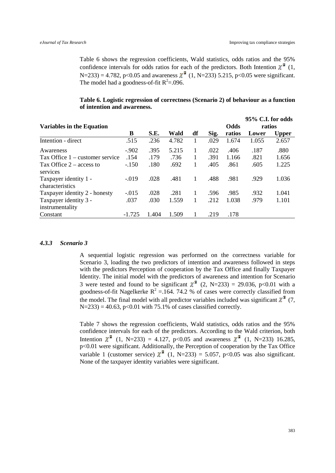Table 6 shows the regression coefficients, Wald statistics, odds ratios and the 95% confidence intervals for odds ratios for each of the predictors. Both Intention  $\chi^2$  (1,  $N=233$ ) = 4.782, p<0.05 and awareness  $\chi^2$  (1, N=233) 5.215, p<0.05 were significant. The model had a goodness-of-fit  $R^2 = .096$ .

# **Table 6. Logistic regression of correctness (Scenario 2) of behaviour as a function of intention and awareness.**

|                                          |          |       |       |    |      |             | 95% C.I. for odds |              |
|------------------------------------------|----------|-------|-------|----|------|-------------|-------------------|--------------|
| <b>Variables in the Equation</b>         |          |       |       |    |      | <b>Odds</b> | ratios            |              |
|                                          | B        | S.E.  | Wald  | df | Sig. | ratios      | Lower             | <b>Upper</b> |
| Intention - direct                       | .515     | .236  | 4.782 | 1  | .029 | 1.674       | 1.055             | 2.657        |
| Awareness                                | $-.902$  | .395  | 5.215 | 1  | .022 | .406        | .187              | .880         |
| Tax Office 1 – customer service          | .154     | .179  | .736  |    | .391 | 1.166       | .821              | 1.656        |
| Tax Office $2 -$ access to<br>services   | $-.150$  | .180  | .692  | 1  | .405 | .861        | .605              | 1.225        |
| Taxpayer identity 1 -<br>characteristics | $-0.019$ | .028  | .481  | 1  | .488 | .981        | .929              | 1.036        |
| Taxpayer identity 2 - honesty            | $-.015$  | .028  | .281  | 1  | .596 | .985        | .932              | 1.041        |
| Taxpayer identity 3 -                    | .037     | .030  | 1.559 | 1  | .212 | 1.038       | .979              | 1.101        |
| instrumentality                          |          |       |       |    |      |             |                   |              |
| Constant                                 | $-1.725$ | 1.404 | 1.509 |    | .219 | .178        |                   |              |

#### *4.3.3 Scenario 3*

A sequential logistic regression was performed on the correctness variable for Scenario 3, loading the two predictors of intention and awareness followed in steps with the predictors Perception of cooperation by the Tax Office and finally Taxpayer Identity. The initial model with the predictors of awareness and intention for Scenario 3 were tested and found to be significant  $\chi^2$  (2, N=233) = 29.036, p<0.01 with a goodness-of-fit Nagelkerke  $R^2 = 164$ . 74.2 % of cases were correctly classified from the model. The final model with all predictor variables included was significant  $\chi^2$  (7,  $N=233$ ) = 40.63, p<0.01 with 75.1% of cases classified correctly.

Table 7 shows the regression coefficients, Wald statistics, odds ratios and the 95% confidence intervals for each of the predictors. According to the Wald criterion, both Intention  $\chi^2$  (1, N=233) = 4.127, p<0.05 and awareness  $\chi^2$  (1, N=233) 16.285, p<0.01 were significant. Additionally, the Perception of cooperation by the Tax Office variable 1 (customer service)  $\chi^2$  (1, N=233) = 5.057, p<0.05 was also significant. None of the taxpayer identity variables were significant.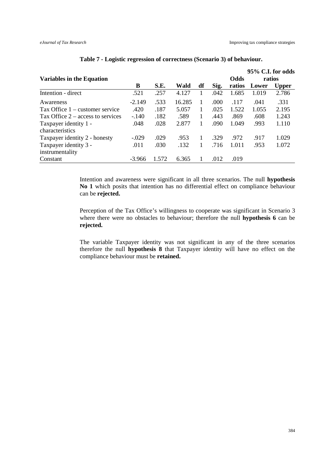| <b>Variables in the Equation</b>    |          |       |        |    |      | Odds   |       | 95% C.I. for odds<br>ratios |
|-------------------------------------|----------|-------|--------|----|------|--------|-------|-----------------------------|
|                                     | B        | S.E.  | Wald   | df | Sig. | ratios | Lower | <b>Upper</b>                |
| Intention - direct                  | .521     | .257  | 4.127  |    | .042 | 1.685  | 1.019 | 2.786                       |
| Awareness                           | $-2.149$ | .533  | 16.285 |    | .000 | .117   | .041  | .331                        |
| Tax Office $1$ – customer service   | .420     | .187  | 5.057  |    | .025 | 1.522  | 1.055 | 2.195                       |
| Tax Office $2 -$ access to services | $-.140$  | .182  | .589   |    | .443 | .869   | .608  | 1.243                       |
| Taxpayer identity 1 -               | .048     | .028  | 2.877  |    | .090 | 1.049  | .993  | 1.110                       |
| characteristics                     |          |       |        |    |      |        |       |                             |
| Taxpayer identity 2 - honesty       | $-.029$  | .029  | .953   |    | .329 | .972   | .917  | 1.029                       |
| Taxpayer identity 3 -               | .011     | .030  | .132   |    | .716 | 1.011  | .953  | 1.072                       |
| instrumentality                     |          |       |        |    |      |        |       |                             |
| Constant                            | $-3.966$ | 1.572 | 6.365  |    | .012 | .019   |       |                             |

# **Table 7 - Logistic regression of correctness (Scenario 3) of behaviour.**

Intention and awareness were significant in all three scenarios. The null **hypothesis No 1** which posits that intention has no differential effect on compliance behaviour can be **rejected.**

Perception of the Tax Office's willingness to cooperate was significant in Scenario 3 where there were no obstacles to behaviour; therefore the null **hypothesis 6** can be **rejected.**

The variable Taxpayer identity was not significant in any of the three scenarios therefore the null **hypothesis 8** that Taxpayer identity will have no effect on the compliance behaviour must be **retained.**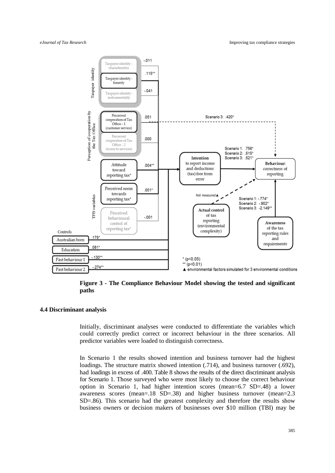

**Figure 3 - The Compliance Behaviour Model showing the tested and significant paths**

#### **4.4 Discriminant analysis**

Initially, discriminant analyses were conducted to differentiate the variables which could correctly predict correct or incorrect behaviour in the three scenarios. All predictor variables were loaded to distinguish correctness.

In Scenario 1 the results showed intention and business turnover had the highest loadings. The structure matrix showed intention (.714), and business turnover (.692), had loadings in excess of .400. Table 8 shows the results of the direct discriminant analysis for Scenario 1. Those surveyed who were most likely to choose the correct behaviour option in Scenario 1, had higher intention scores (mean=6.7 SD=.48) a lower awareness scores (mean=.18 SD=.38) and higher business turnover (mean=2.3 SD=.86). This scenario had the greatest complexity and therefore the results show business owners or decision makers of businesses over \$10 million (TBI) may be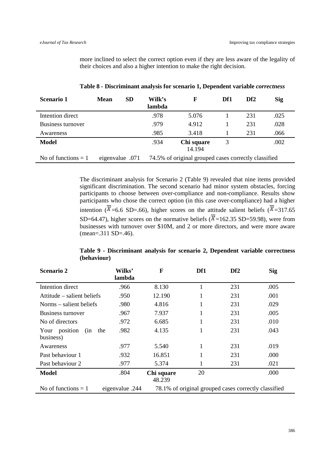more inclined to select the correct option even if they are less aware of the legality of their choices and also a higher intention to make the right decision.

| <b>Scenario 1</b>     | Mean            | <b>SD</b> | Wilk's<br>lambda | F                                                    | Df1 | Df <sub>2</sub> | <b>Sig</b> |
|-----------------------|-----------------|-----------|------------------|------------------------------------------------------|-----|-----------------|------------|
| Intention direct      |                 |           | .978             | 5.076                                                |     | 231             | .025       |
| Business turnover     |                 |           | .979             | 4.912                                                |     | 231             | .028       |
| Awareness             |                 |           | .985             | 3.418                                                |     | 231             | .066       |
| <b>Model</b>          |                 |           | .934             | Chi square<br>14.194                                 |     |                 | .002       |
| No of functions $= 1$ | eigenvalue .071 |           |                  | 74.5% of original grouped cases correctly classified |     |                 |            |

**Table 8 - Discriminant analysis for scenario 1, Dependent variable** *correctness*

The discriminant analysis for Scenario 2 (Table 9) revealed that nine items provided significant discrimination. The second scenario had minor system obstacles, forcing participants to choose between over-compliance and non-compliance. Results show participants who chose the correct option (in this case over-compliance) had a higher intention ( $\overline{X}$ =6.6 SD=.66), higher scores on the attitude salient beliefs ( $\overline{X}$ =317.65 SD=64.47), higher scores on the normative beliefs ( $\overline{X}$ =162.35 SD=59.98), were from businesses with turnover over \$10M, and 2 or more directors, and were more aware (mean=.311 SD=.46).

| <b>Scenario 2</b>           | Wilks'<br>lambda | $\mathbf F$          | Df1 | Df <sub>2</sub>                                      | <b>Sig</b> |
|-----------------------------|------------------|----------------------|-----|------------------------------------------------------|------------|
| Intention direct            | .966             | 8.130                | 1   | 231                                                  | .005       |
| Attitude – salient beliefs  | .950             | 12.190               | 1   | 231                                                  | .001       |
| Norms – salient beliefs     | .980             | 4.816                | 1   | 231                                                  | .029       |
| Business turnover           | .967             | 7.937                | 1   | 231                                                  | .005       |
| No of directors             | .972             | 6.685                | 1   | 231                                                  | .010       |
| Your position<br>(in<br>the | .982             | 4.135                | 1   | 231                                                  | .043       |
| business)                   |                  |                      |     |                                                      |            |
| Awareness                   | .977             | 5.540                | 1   | 231                                                  | .019       |
| Past behaviour 1            | .932             | 16.851               |     | 231                                                  | .000       |
| Past behaviour 2            | .977             | 5.374                | 1   | 231                                                  | .021       |
| <b>Model</b>                | .804             | Chi square<br>48.239 | 20  |                                                      | .000       |
| No of functions $= 1$       | eigenvalue .244  |                      |     | 78.1% of original grouped cases correctly classified |            |

**Table 9 - Discriminant analysis for scenario 2, Dependent variable correctness (behaviour)**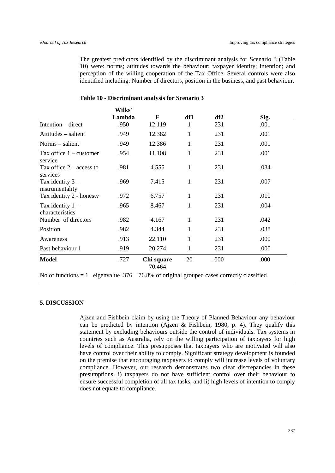The greatest predictors identified by the discriminant analysis for Scenario 3 (Table 10) were: norms; attitudes towards the behaviour; taxpayer identity; intention; and perception of the willing cooperation of the Tax Office. Several controls were also identified including: Number of directors, position in the business, and past behaviour.

|                                        | Wilks' |                      |              |      |      |
|----------------------------------------|--------|----------------------|--------------|------|------|
|                                        | Lambda | F                    | df1          | df2  | Sig. |
| Intention – direct                     | .950   | 12.119               | 1            | 231  | .001 |
| Attitudes – salient                    | .949   | 12.382               | $\mathbf{1}$ | 231  | .001 |
| Norms – salient                        | .949   | 12.386               | $\mathbf{1}$ | 231  | .001 |
| Tax office $1$ – customer<br>service   | .954   | 11.108               | 1            | 231  | .001 |
| Tax office $2 -$ access to<br>services | .981   | 4.555                | 1            | 231  | .034 |
| Tax identity $3-$<br>instrumentality   | .969   | 7.415                | $\mathbf{1}$ | 231  | .007 |
| Tax identity 2 - honesty               | .972   | 6.757                | 1            | 231  | .010 |
| Tax identity $1 -$<br>characteristics  | .965   | 8.467                | 1            | 231  | .004 |
| Number of directors                    | .982   | 4.167                | 1            | 231  | .042 |
| Position                               | .982   | 4.344                | 1            | 231  | .038 |
| Awareness                              | .913   | 22.110               | 1            | 231  | .000 |
| Past behaviour 1                       | .919   | 20.274               | 1            | 231  | .000 |
| <b>Model</b>                           | .727   | Chi square<br>70.464 | 20           | .000 | .000 |

#### **Table 10 - Discriminant analysis for Scenario 3**

No of functions  $= 1$  eigenvalue .376 76.8% of original grouped cases correctly classified

#### **5. DISCUSSION**

Ajzen and Fishbein claim by using the Theory of Planned Behaviour any behaviour can be predicted by intention [\(Ajzen & Fishbein, 1980, p. 4\)](#page-34-3). They qualify this statement by excluding behaviours outside the control of individuals. Tax systems in countries such as Australia, rely on the willing participation of taxpayers for high levels of compliance. This presupposes that taxpayers who are motivated will also have control over their ability to comply. Significant strategy development is founded on the premise that encouraging taxpayers to comply will increase levels of voluntary compliance. However, our research demonstrates two clear discrepancies in these presumptions: i) taxpayers do not have sufficient control over their behaviour to ensure successful completion of all tax tasks; and ii) high levels of intention to comply does not equate to compliance.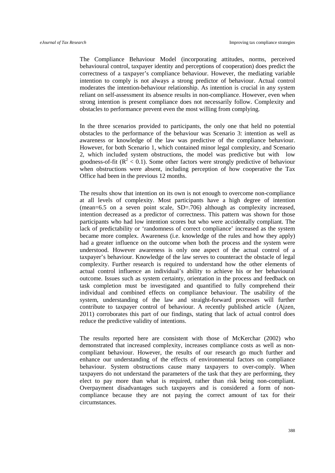The Compliance Behaviour Model (incorporating attitudes, norms, perceived behavioural control, taxpayer identity and perceptions of cooperation) does predict the correctness of a taxpayer's compliance behaviour. However, the mediating variable intention to comply is not always a strong predictor of behaviour. Actual control moderates the intention-behaviour relationship. As intention is crucial in any system reliant on self-assessment its absence results in non-compliance. However, even when strong intention is present compliance does not necessarily follow. Complexity and obstacles to performance prevent even the most willing from complying.

In the three scenarios provided to participants, the only one that held no potential obstacles to the performance of the behaviour was Scenario 3: intention as well as awareness or knowledge of the law was predictive of the compliance behaviour. However, for both Scenario 1, which contained minor legal complexity, and Scenario 2, which included system obstructions, the model was predictive but with low goodness-of-fit ( $\mathbb{R}^2$  < 0.1). Some other factors were strongly predictive of behaviour when obstructions were absent, including perception of how cooperative the Tax Office had been in the previous 12 months.

The results show that intention on its own is not enough to overcome non-compliance at all levels of complexity. Most participants have a high degree of intention (mean=6.5 on a seven point scale, SD=.706) although as complexity increased, intention decreased as a predictor of correctness. This pattern was shown for those participants who had low intention scores but who were accidentally compliant. The lack of predictability or 'randomness of correct compliance' increased as the system became more complex. Awareness (i.e. knowledge of the rules and how they apply) had a greater influence on the outcome when both the process and the system were understood. However awareness is only one aspect of the actual control of a taxpayer's behaviour. Knowledge of the law serves to counteract the obstacle of legal complexity. Further research is required to understand how the other elements of actual control influence an individual's ability to achieve his or her behavioural outcome. Issues such as system certainty, orientation in the process and feedback on task completion must be investigated and quantified to fully comprehend their individual and combined effects on compliance behaviour. The usability of the system, understanding of the law and straight-forward processes will further contribute to taxpayer control of behaviour. A recently published article [\(Ajzen,](#page-34-6)  [2011\)](#page-34-6) corroborates this part of our findings, stating that lack of actual control does reduce the predictive validity of intentions.

The results reported here are consistent with those of McKerchar [\(2002\)](#page-38-11) who demonstrated that increased complexity, increases compliance costs as well as noncompliant behaviour. However, the results of our research go much further and enhance our understanding of the effects of environmental factors on compliance behaviour. System obstructions cause many taxpayers to over-comply. When taxpayers do not understand the parameters of the task that they are performing, they elect to pay more than what is required, rather than risk being non-compliant. Overpayment disadvantages such taxpayers and is considered a form of noncompliance because they are not paying the correct amount of tax for their circumstances.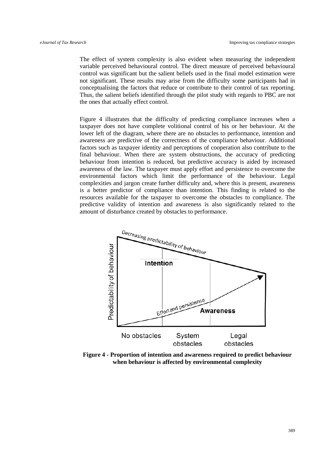The effect of system complexity is also evident when measuring the independent variable perceived behavioural control. The direct measure of perceived behavioural control was significant but the salient beliefs used in the final model estimation were not significant. These results may arise from the difficulty some participants had in conceptualising the factors that reduce or contribute to their control of tax reporting. Thus, the salient beliefs identified through the pilot study with regards to PBC are not the ones that actually effect control.

Figure 4 illustrates that the difficulty of predicting compliance increases when a taxpayer does not have complete volitional control of his or her behaviour. At the lower left of the diagram, where there are no obstacles to performance, intention and awareness are predictive of the correctness of the compliance behaviour. Additional factors such as taxpayer identity and perceptions of cooperation also contribute to the final behaviour. When there are system obstructions, the accuracy of predicting behaviour from intention is reduced, but predictive accuracy is aided by increased awareness of the law. The taxpayer must apply effort and persistence to overcome the environmental factors which limit the performance of the behaviour. Legal complexities and jargon create further difficulty and, where this is present, awareness is a better predictor of compliance than intention. This finding is related to the resources available for the taxpayer to overcome the obstacles to compliance. The predictive validity of intention and awareness is also significantly related to the amount of disturbance created by obstacles to performance.



**Figure 4 - Proportion of intention and awareness required to predict behaviour when behaviour is affected by environmental complexity**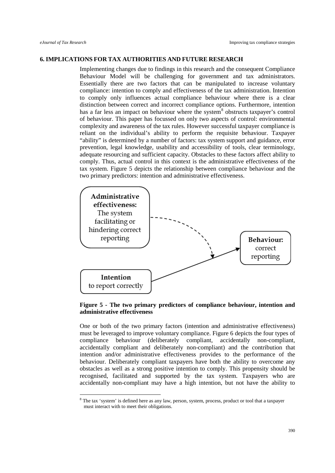# **6. IMPLICATIONS FOR TAX AUTHORITIES AND FUTURE RESEARCH**

Implementing changes due to findings in this research and the consequent Compliance Behaviour Model will be challenging for government and tax administrators. Essentially there are two factors that can be manipulated to increase voluntary compliance: intention to comply and effectiveness of the tax administration. Intention to comply only influences actual compliance behaviour where there is a clear distinction between correct and incorrect compliance options. Furthermore, intention has a far less an impact on behaviour where the system<sup>[8](#page-11-1)</sup> obstructs taxpayer's control of behaviour. This paper has focussed on only two aspects of control: environmental complexity and awareness of the tax rules. However successful taxpayer compliance is reliant on the individual's ability to perform the requisite behaviour. Taxpayer "ability" is determined by a number of factors: tax system support and guidance, error prevention, legal knowledge, usability and accessibility of tools, clear terminology, adequate resourcing and sufficient capacity. Obstacles to these factors affect ability to comply. Thus, actual control in this context is the administrative effectiveness of the tax system. Figure 5 depicts the relationship between compliance behaviour and the two primary predictors: intention and administrative effectiveness.



# **Figure 5 - The two primary predictors of compliance behaviour, intention and administrative effectiveness**

One or both of the two primary factors (intention and administrative effectiveness) must be leveraged to improve voluntary compliance. Figure 6 depicts the four types of compliance behaviour (deliberately compliant, accidentally non-compliant, accidentally compliant and deliberately non-compliant) and the contribution that intention and/or administrative effectiveness provides to the performance of the behaviour. Deliberately compliant taxpayers have both the ability to overcome any obstacles as well as a strong positive intention to comply. This propensity should be recognised, facilitated and supported by the tax system. Taxpayers who are accidentally non-compliant may have a high intention, but not have the ability to

<span id="page-28-0"></span><sup>&</sup>lt;sup>8</sup> The tax 'system' is defined here as any law, person, system, process, product or tool that a taxpayer must interact with to meet their obligations.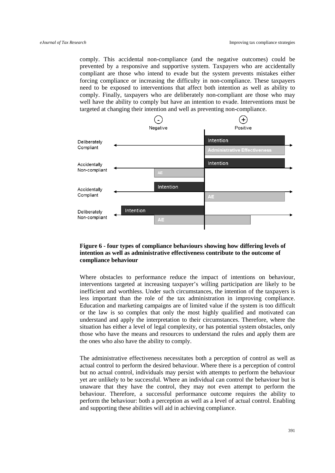comply. This accidental non-compliance (and the negative outcomes) could be prevented by a responsive and supportive system. Taxpayers who are accidentally compliant are those who intend to evade but the system prevents mistakes either forcing compliance or increasing the difficulty in non-compliance. These taxpayers need to be exposed to interventions that affect both intention as well as ability to comply. Finally, taxpayers who are deliberately non-compliant are those who may well have the ability to comply but have an intention to evade. Interventions must be targeted at changing their intention and well as preventing non-compliance.



# **Figure 6 - four types of compliance behaviours showing how differing levels of intention as well as administrative effectiveness contribute to the outcome of compliance behaviour**

Where obstacles to performance reduce the impact of intentions on behaviour, interventions targeted at increasing taxpayer's willing participation are likely to be inefficient and worthless. Under such circumstances, the intention of the taxpayers is less important than the role of the tax administration in improving compliance. Education and marketing campaigns are of limited value if the system is too difficult or the law is so complex that only the most highly qualified and motivated can understand and apply the interpretation to their circumstances. Therefore, where the situation has either a level of legal complexity, or has potential system obstacles, only those who have the means and resources to understand the rules and apply them are the ones who also have the ability to comply.

The administrative effectiveness necessitates both a perception of control as well as actual control to perform the desired behaviour. Where there is a perception of control but no actual control, individuals may persist with attempts to perform the behaviour yet are unlikely to be successful. Where an individual can control the behaviour but is unaware that they have the control, they may not even attempt to perform the behaviour. Therefore, a successful performance outcome requires the ability to perform the behaviour: both a perception as well as a level of actual control. Enabling and supporting these abilities will aid in achieving compliance.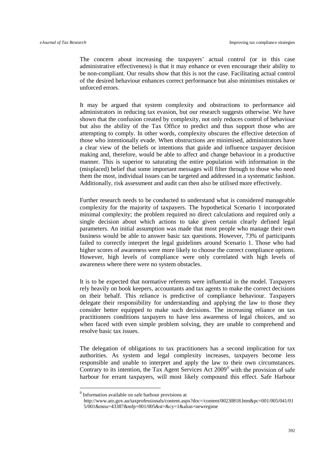The concern about increasing the taxpayers' actual control (or in this case administrative effectiveness) is that it may enhance or even encourage their ability to be non-compliant. Our results show that this is not the case. Facilitating actual control of the desired behaviour enhances correct performance but also minimises mistakes or unforced errors.

It may be argued that system complexity and obstructions to performance aid administrators in reducing tax evasion, but our research suggests otherwise. We have shown that the confusion created by complexity, not only reduces control of behaviour but also the ability of the Tax Office to predict and thus support those who are attempting to comply. In other words, complexity obscures the effective detection of those who intentionally evade. When obstructions are minimised, administrators have a clear view of the beliefs or intentions that guide and influence taxpayer decision making and, therefore, would be able to affect and change behaviour in a productive manner. This is superior to saturating the entire population with information in the (misplaced) belief that some important messages will filter through to those who need them the most, individual issues can be targeted and addressed in a systematic fashion. Additionally, risk assessment and audit can then also be utilised more effectively.

Further research needs to be conducted to understand what is considered manageable complexity for the majority of taxpayers. The hypothetical Scenario 1 incorporated minimal complexity; the problem required no direct calculations and required only a single decision about which actions to take given certain clearly defined legal parameters. An initial assumption was made that most people who manage their own business would be able to answer basic tax questions. However, 73% of participants failed to correctly interpret the legal guidelines around Scenario 1. Those who had higher scores of awareness were more likely to choose the correct compliance options. However, high levels of compliance were only correlated with high levels of awareness where there were no system obstacles.

It is to be expected that normative referents were influential in the model. Taxpayers rely heavily on book keepers, accountants and tax agents to make the correct decisions on their behalf. This reliance is predictive of compliance behaviour. Taxpayers delegate their responsibility for understanding and applying the law to those they consider better equipped to make such decisions. The increasing reliance on tax practitioners conditions taxpayers to have less awareness of legal choices, and so when faced with even simple problem solving, they are unable to comprehend and resolve basic tax issues.

The delegation of obligations to tax practitioners has a second implication for tax authorities. As system and legal complexity increases, taxpayers become less responsible and unable to interpret and apply the law to their own circumstances. Contrary to its intention, the Tax Agent Services Act 2009*[9](#page-28-0)* with the provision of safe harbour for errant taxpayers, will most likely compound this effect. Safe Harbour

<span id="page-30-0"></span> <sup>9</sup> Information available on safe harbour provisions at

http://www.ato.gov.au/taxprofessionals/content.aspx?doc=/content/00230818.htm&pc=001/005/041/01 5/001&mnu=43387&mfp=001/005&st=&cy=1&alias=newregime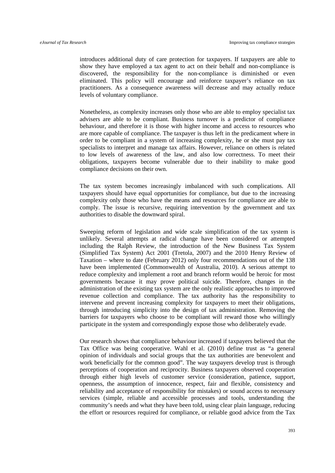introduces additional duty of care protection for taxpayers. If taxpayers are able to show they have employed a tax agent to act on their behalf and non-compliance is discovered, the responsibility for the non-compliance is diminished or even eliminated. This policy will encourage and reinforce taxpayer's reliance on tax practitioners. As a consequence awareness will decrease and may actually reduce levels of voluntary compliance.

Nonetheless, as complexity increases only those who are able to employ specialist tax advisers are able to be compliant. Business turnover is a predictor of compliance behaviour, and therefore it is those with higher income and access to resources who are more capable of compliance. The taxpayer is thus left in the predicament where in order to be compliant in a system of increasing complexity, he or she must pay tax specialists to interpret and manage tax affairs. However, reliance on others is related to low levels of awareness of the law, and also low correctness. To meet their obligations, taxpayers become vulnerable due to their inability to make good compliance decisions on their own.

The tax system becomes increasingly imbalanced with such complications. All taxpayers should have equal opportunities for compliance, but due to the increasing complexity only those who have the means and resources for compliance are able to comply. The issue is recursive, requiring intervention by the government and tax authorities to disable the downward spiral.

Sweeping reform of legislation and wide scale simplification of the tax system is unlikely. Several attempts at radical change have been considered or attempted including the Ralph Review, the introduction of the New Business Tax System (Simplified Tax System) Act 2001 [\(Tretola, 2007\)](#page-39-7) and the 2010 Henry Review of Taxation – where to date (February 2012) only four recommendations out of the 138 have been implemented [\(Commonwealth of Australia, 2010\)](#page-36-13). A serious attempt to reduce complexity and implement a root and branch reform would be heroic for most governments because it may prove political suicide. Therefore, changes in the administration of the existing tax system are the only realistic approaches to improved revenue collection and compliance. The tax authority has the responsibility to intervene and prevent increasing complexity for taxpayers to meet their obligations, through introducing simplicity into the design of tax administration. Removing the barriers for taxpayers who choose to be compliant will reward those who willingly participate in the system and correspondingly expose those who deliberately evade.

Our research shows that compliance behaviour increased if taxpayers believed that the Tax Office was being cooperative. Wahl et al. [\(2010\)](#page-39-8) define trust as "a general opinion of individuals and social groups that the tax authorities are benevolent and work beneficially for the common good". The way taxpayers develop trust is through perceptions of cooperation and reciprocity. Business taxpayers observed cooperation through either high levels of customer service (consideration, patience, support, openness, the assumption of innocence, respect, fair and flexible, consistency and reliability and acceptance of responsibility for mistakes) or sound access to necessary services (simple, reliable and accessible processes and tools, understanding the community's needs and what they have been told, using clear plain language, reducing the effort or resources required for compliance, or reliable good advice from the Tax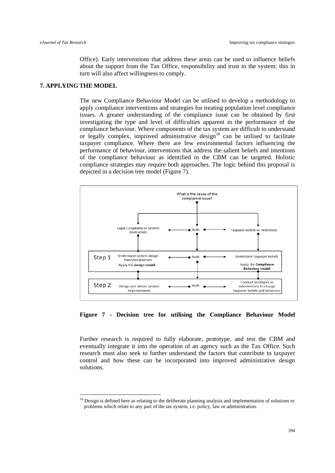Office). Early interventions that address these areas can be used to influence beliefs about the support from the Tax Office, responsibility and trust in the system: this in turn will also affect willingness to comply.

# **7. APPLYING THE MODEL**

The new Compliance Behaviour Model can be utilised to develop a methodology to apply compliance interventions and strategies for treating population level compliance issues. A greater understanding of the compliance issue can be obtained by first investigating the type and level of difficulties apparent in the performance of the compliance behaviour. Where components of the tax system are difficult to understand or legally complex, improved administrative design<sup>[10](#page-30-0)</sup> can be utilised to facilitate taxpayer compliance. Where there are few environmental factors influencing the performance of behaviour, interventions that address the salient beliefs and intentions of the compliance behaviour as identified in the CBM can be targeted. Holistic compliance strategies may require both approaches. The logic behind this proposal is depicted in a decision tree model (Figure 7).



**Figure 7 - Decision tree for utilising the Compliance Behaviour Model** 

Further research is required to fully elaborate, prototype, and test the CBM and eventually integrate it into the operation of an agency such as the Tax Office. Such research must also seek to further understand the factors that contribute to taxpayer control and how these can be incorporated into improved administrative design solutions.

<span id="page-32-0"></span> $10$  Design is defined here as relating to the deliberate planning analysis and implementation of solutions to problems which relate to any part of the tax system, i.e. policy, law or administration.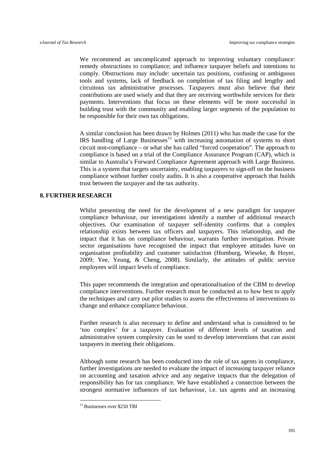We recommend an uncomplicated approach to improving voluntary compliance: remedy obstructions to compliance; and influence taxpayer beliefs and intentions to comply. Obstructions may include: uncertain tax positions, confusing or ambiguous tools and systems, lack of feedback on completion of tax filing and lengthy and circuitous tax administrative processes. Taxpayers must also believe that their contributions are used wisely and that they are receiving worthwhile services for their payments. Interventions that focus on these elements will be more successful in building trust with the community and enabling larger segments of the population to be responsible for their own tax obligations.

A similar conclusion has been drawn by Holmes [\(2011\)](#page-37-12) who has made the case for the IRS handling of Large Businesses<sup>[11](#page-32-0)</sup> with increasing automation of systems to short circuit non-compliance – or what she has called "forced cooperation". The approach to compliance is based on a trial of the Compliance Assurance Program (CAP), which is similar to Australia's Forward Compliance Agreement approach with Large Business. This is a system that targets uncertainty, enabling taxpayers to sign-off on the business compliance without further costly audits. It is also a cooperative approach that builds trust between the taxpayer and the tax authority.

# **8. FURTHER RESEARCH**

Whilst presenting the need for the development of a new paradigm for taxpayer compliance behaviour, our investigations identify a number of additional research objectives. Our examination of taxpayer self-identity confirms that a complex relationship exists between tax officers and taxpayers. This relationship, and the impact that it has on compliance behaviour, warrants further investigation. Private sector organisations have recognised the impact that employee attitudes have on organisation profitability and customer satisfaction [\(Homburg, Wieseke, & Hoyer,](#page-37-13)  [2009;](#page-37-13) [Yee, Yeung, & Cheng, 2008\)](#page-39-9). Similarly, the attitudes of public service employees will impact levels of compliance.

This paper recommends the integration and operationalisation of the CBM to develop compliance interventions. Further research must be conducted as to how best to apply the techniques and carry out pilot studies to assess the effectiveness of interventions to change and enhance compliance behaviour.

Further research is also necessary to define and understand what is considered to be 'too complex' for a taxpayer. Evaluation of different levels of taxation and administrative system complexity can be used to develop interventions that can assist taxpayers in meeting their obligations.

Although some research has been conducted into the role of tax agents in compliance, further investigations are needed to evaluate the impact of increasing taxpayer reliance on accounting and taxation advice and any negative impacts that the delegation of responsibility has for tax compliance. We have established a connection between the strongest normative influences of tax behaviour, i.e. tax agents and an increasing

<sup>&</sup>lt;sup>11</sup> Businesses over \$250 TBI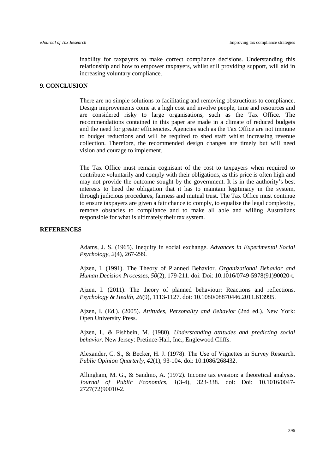inability for taxpayers to make correct compliance decisions. Understanding this relationship and how to empower taxpayers, whilst still providing support, will aid in increasing voluntary compliance.

# **9. CONCLUSION**

There are no simple solutions to facilitating and removing obstructions to compliance. Design improvements come at a high cost and involve people, time and resources and are considered risky to large organisations, such as the Tax Office. The recommendations contained in this paper are made in a climate of reduced budgets and the need for greater efficiencies. Agencies such as the Tax Office are not immune to budget reductions and will be required to shed staff whilst increasing revenue collection. Therefore, the recommended design changes are timely but will need vision and courage to implement.

The Tax Office must remain cognisant of the cost to taxpayers when required to contribute voluntarily and comply with their obligations, as this price is often high and may not provide the outcome sought by the government. It is in the authority's best interests to heed the obligation that it has to maintain legitimacy in the system, through judicious procedures, fairness and mutual trust. The Tax Office must continue to ensure taxpayers are given a fair chance to comply, to equalise the legal complexity, remove obstacles to compliance and to make all able and willing Australians responsible for what is ultimately their tax system.

# <span id="page-34-2"></span><span id="page-34-0"></span>**REFERENCES**

Adams, J. S. (1965). Inequity in social exchange. *Advances in Experimental Social Psychology, 2*(4), 267-299.

Ajzen, I. (1991). The Theory of Planned Behavior. *Organizational Behavior and Human Decision Processes, 50*(2), 179-211. doi: Doi: 10.1016/0749-5978(91)90020-t.

<span id="page-34-6"></span>Ajzen, I. (2011). The theory of planned behaviour: Reactions and reflections. *Psychology & Health, 26*(9), 1113-1127. doi: 10.1080/08870446.2011.613995.

<span id="page-34-4"></span>Ajzen, I. (Ed.). (2005). *Attitudes, Personality and Behavior* (2nd ed.). New York: Open University Press.

<span id="page-34-3"></span>Ajzen, I., & Fishbein, M. (1980). *Understanding attitudes and predicting social behavior*. New Jersey: Pretince-Hall, Inc., Englewood Cliffs.

<span id="page-34-5"></span>Alexander, C. S., & Becker, H. J. (1978). The Use of Vignettes in Survey Research. *Public Opinion Quarterly, 42*(1), 93-104. doi: 10.1086/268432.

<span id="page-34-1"></span>Allingham, M. G., & Sandmo, A. (1972). Income tax evasion: a theoretical analysis. *Journal of Public Economics, 1*(3-4), 323-338. doi: Doi: 10.1016/0047- 2727(72)90010-2.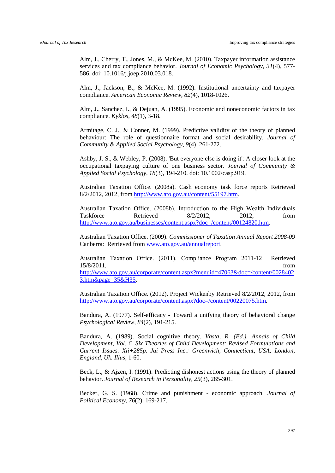<span id="page-35-4"></span>Alm, J., Cherry, T., Jones, M., & McKee, M. (2010). Taxpayer information assistance services and tax compliance behavior. *Journal of Economic Psychology, 31*(4), 577- 586. doi: 10.1016/j.joep.2010.03.018.

<span id="page-35-12"></span>Alm, J., Jackson, B., & McKee, M. (1992). Institutional uncertainty and taxpayer compliance. *American Economic Review, 82*(4), 1018-1026.

<span id="page-35-0"></span>Alm, J., Sanchez, I., & Dejuan, A. (1995). Economic and noneconomic factors in tax compliance. *Kyklos, 48*(1), 3-18.

<span id="page-35-10"></span>Armitage, C. J., & Conner, M. (1999). Predictive validity of the theory of planned behaviour: The role of questionnaire format and social desirability. *Journal of Community & Applied Social Psychology, 9*(4), 261-272.

<span id="page-35-11"></span>Ashby, J. S., & Webley, P. (2008). 'But everyone else is doing it': A closer look at the occupational taxpaying culture of one business sector. *Journal of Community & Applied Social Psychology, 18*(3), 194-210. doi: 10.1002/casp.919.

<span id="page-35-3"></span>Australian Taxation Office. (2008a). Cash economy task force reports Retrieved 8/2/2012, 2012, from [http://www.ato.gov.au/content/55197.htm.](http://www.ato.gov.au/content/55197.htm)

<span id="page-35-2"></span>Australian Taxation Office. (2008b). Introduction to the High Wealth Individuals Taskforce Retrieved 8/2/2012, 2012, from [http://www.ato.gov.au/businesses/content.aspx?doc=/content/00124820.htm.](http://www.ato.gov.au/businesses/content.aspx?doc=/content/00124820.htm)

<span id="page-35-1"></span>Australian Taxation Office. (2009). *Commissioner of Taxation Annual Report 2008-09*  Canberra: Retrieved from [www.ato.gov.au/annualreport.](http://www.ato.gov.au/annualreport)

<span id="page-35-13"></span>Australian Taxation Office. (2011). Compliance Program 2011-12 Retrieved 15/8/2011, from [http://www.ato.gov.au/corporate/content.aspx?menuid=47063&doc=/content/0028402](http://www.ato.gov.au/corporate/content.aspx?menuid=47063&doc=/content/00284023.htm&page=35&H35) [3.htm&page=35&H35.](http://www.ato.gov.au/corporate/content.aspx?menuid=47063&doc=/content/00284023.htm&page=35&H35)

<span id="page-35-5"></span>Australian Taxation Office. (2012). Project Wickenby Retrieved 8/2/2012, 2012, from [http://www.ato.gov.au/corporate/content.aspx?doc=/content/00220075.htm.](http://www.ato.gov.au/corporate/content.aspx?doc=/content/00220075.htm)

<span id="page-35-9"></span>Bandura, A. (1977). Self-efficacy - Toward a unifying theory of behavioral change *Psychological Review, 84*(2), 191-215.

<span id="page-35-8"></span>Bandura, A. (1989). Social cognitive theory. *Vasta, R. (Ed.). Annals of Child Development, Vol. 6. Six Theories of Child Development: Revised Formulations and Current Issues. Xii+285p. Jai Press Inc.: Greenwich, Connecticut, USA; London, England, Uk. Illus*, 1-60.

<span id="page-35-7"></span>Beck, L., & Ajzen, I. (1991). Predicting dishonest actions using the theory of planned behavior. *Journal of Research in Personality, 25*(3), 285-301.

<span id="page-35-6"></span>Becker, G. S. (1968). Crime and punishment - economic approach. *Journal of Political Economy, 76*(2), 169-217.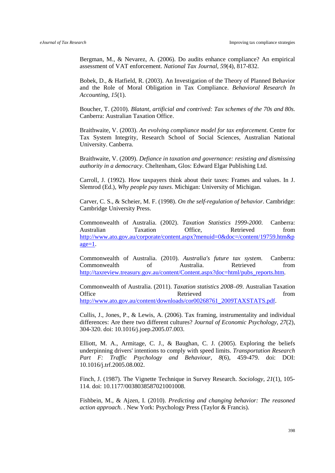<span id="page-36-5"></span>Bergman, M., & Nevarez, A. (2006). Do audits enhance compliance? An empirical assessment of VAT enforcement. *National Tax Journal, 59*(4), 817-832.

<span id="page-36-0"></span>Bobek, D., & Hatfield, R. (2003). An Investigation of the Theory of Planned Behavior and the Role of Moral Obligation in Tax Compliance. *Behavioral Research In Accounting, 15*(1).

<span id="page-36-4"></span>Boucher, T. (2010). *Blatant, artificial and contrived: Tax schemes of the 70s and 80s.* Canberra: Australian Taxation Office.

<span id="page-36-3"></span>Braithwaite, V. (2003). *An evolving compliance model for tax enforcement*. Centre for Tax System Integrity, Research School of Social Sciences, Australian National University. Canberra.

<span id="page-36-6"></span>Braithwaite, V. (2009). *Defiance in taxation and governance: resisting and dismissing authority in a democracy*. Cheltenham, Glos: Edward Elgar Publishing Ltd.

<span id="page-36-11"></span>Carroll, J. (1992). How taxpayers think about their taxes: Frames and values. In J. Slemrod (Ed.), *Why people pay taxes*. Michigan: University of Michigan.

<span id="page-36-7"></span>Carver, C. S., & Scheier, M. F. (1998). *On the self-regulation of behavior*. Cambridge: Cambridge University Press.

<span id="page-36-1"></span>Commonwealth of Australia. (2002). *Taxation Statistics 1999-2000*. Canberra: Australian Taxation Office, Retrieved from [http://www.ato.gov.au/corporate/content.aspx?menuid=0&doc=/content/19759.htm&p](http://www.ato.gov.au/corporate/content.aspx?menuid=0&doc=/content/19759.htm&page=1)  $a$ ge= $1$ .

<span id="page-36-13"></span>Commonwealth of Australia. (2010). *Australia's future tax system*. Canberra: Commonwealth of Australia. Retrieved from [http://taxreview.treasury.gov.au/content/Content.aspx?doc=html/pubs\\_reports.htm.](http://taxreview.treasury.gov.au/content/Content.aspx?doc=html/pubs_reports.htm)

<span id="page-36-2"></span>Commonwealth of Australia. (2011). *Taxation statistics 2008–09*. Australian Taxation Office Retrieved Retrieved from [http://www.ato.gov.au/content/downloads/cor00268761\\_2009TAXSTATS.pdf.](http://www.ato.gov.au/content/downloads/cor00268761_2009TAXSTATS.pdf)

<span id="page-36-12"></span>Cullis, J., Jones, P., & Lewis, A. (2006). Tax framing, instrumentality and individual differences: Are there two different cultures? *Journal of Economic Psychology, 27*(2), 304-320. doi: 10.1016/j.joep.2005.07.003.

<span id="page-36-8"></span>Elliott, M. A., Armitage, C. J., & Baughan, C. J. (2005). Exploring the beliefs underpinning drivers' intentions to comply with speed limits. *Transportation Research Part F: Traffic Psychology and Behaviour, 8*(6), 459-479. doi: DOI: 10.1016/j.trf.2005.08.002.

<span id="page-36-10"></span>Finch, J. (1987). The Vignette Technique in Survey Research. *Sociology, 21*(1), 105- 114. doi: 10.1177/0038038587021001008.

<span id="page-36-9"></span>Fishbein, M., & Ajzen, I. (2010). *Predicting and changing behavior: The reasoned action approach.* . New York: Psychology Press (Taylor & Francis).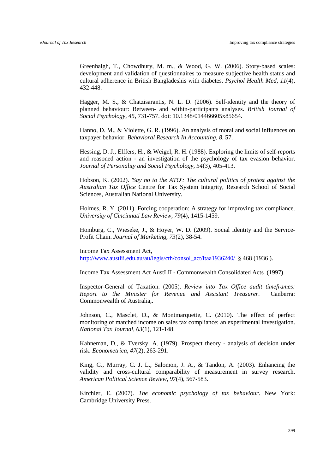<span id="page-37-10"></span>Greenhalgh, T., Chowdhury, M. m., & Wood, G. W. (2006). Story-based scales: development and validation of questionnaires to measure subjective health status and cultural adherence in British Bangladeshis with diabetes. *Psychol Health Med, 11*(4), 432-448.

<span id="page-37-7"></span>Hagger, M. S., & Chatzisarantis, N. L. D. (2006). Self-identity and the theory of planned behaviour: Between- and within-participants analyses. *British Journal of Social Psychology, 45*, 731-757. doi: 10.1348/014466605x85654.

<span id="page-37-6"></span>Hanno, D. M., & Violette, G. R. (1996). An analysis of moral and social influences on taxpayer behavior. *Behavioral Research In Accounting, 8*, 57.

<span id="page-37-4"></span>Hessing, D. J., Elffers, H., & Weigel, R. H. (1988). Exploring the limits of self-reports and reasoned action - an investigation of the psychology of tax evasion behavior. *Journal of Personality and Social Psychology, 54*(3), 405-413.

<span id="page-37-3"></span>Hobson, K. (2002). *'Say no to the ATO': The cultural politics of protest against the Australian Tax Office* Centre for Tax System Integrity, Research School of Social Sciences, Australian National University.

<span id="page-37-12"></span>Holmes, R. Y. (2011). Forcing cooperation: A strategy for improving tax compliance. *University of Cincinnati Law Review, 79*(4), 1415-1459.

<span id="page-37-13"></span>Homburg, C., Wieseke, J., & Hoyer, W. D. (2009). Social Identity and the Service-Profit Chain. *Journal of Marketing, 73*(2), 38-54.

<span id="page-37-8"></span>Income Tax Assessment Act,

[http://www.austlii.edu.au/au/legis/cth/consol\\_act/itaa1936240/](http://www.austlii.edu.au/au/legis/cth/consol_act/itaa1936240/) § 468 (1936).

<span id="page-37-9"></span>Income Tax Assessment Act AustLII - Commonwealth Consolidated Acts (1997).

<span id="page-37-0"></span>Inspector-General of Taxation. (2005). *Review into Tax Office audit timeframes: Report to the Minister for Revenue and Assistant Treasurer*. Canberra: Commonwealth of Australia,.

<span id="page-37-1"></span>Johnson, C., Masclet, D., & Montmarquette, C. (2010). The effect of perfect monitoring of matched income on sales tax compliance: an experimental investigation. *National Tax Journal, 63*(1), 121-148.

<span id="page-37-5"></span>Kahneman, D., & Tversky, A. (1979). Prospect theory - analysis of decision under risk. *Econometrica, 47*(2), 263-291.

<span id="page-37-11"></span>King, G., Murray, C. J. L., Salomon, J. A., & Tandon, A. (2003). Enhancing the validity and cross-cultural comparability of measurement in survey research. *American Political Science Review, 97*(4), 567-583.

<span id="page-37-2"></span>Kirchler, E. (2007). *The economic psychology of tax behaviour*. New York: Cambridge University Press.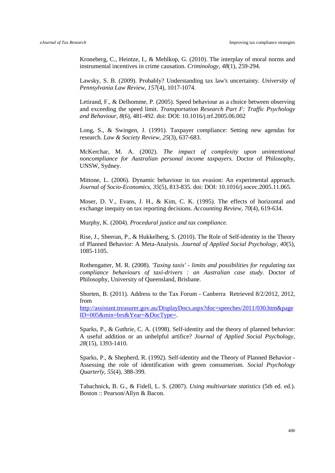<span id="page-38-8"></span>Kroneberg, C., Heintze, I., & Mehlkop, G. (2010). The interplay of moral norms and instrumental incentives in crime causation. *Criminology, 48*(1), 259-294.

<span id="page-38-12"></span>Lawsky, S. B. (2009). Probably? Understanding tax law's uncertainty. *University of Pennsylvania Law Review, 157*(4), 1017-1074.

<span id="page-38-7"></span>Letirand, F., & Delhomme, P. (2005). Speed behaviour as a choice between observing and exceeding the speed limit. *Transportation Research Part F: Traffic Psychology and Behaviour, 8*(6), 481-492. doi: DOI: 10.1016/j.trf.2005.06.002

<span id="page-38-10"></span>Long, S., & Swingen, J. (1991). Taxpayer compliance: Setting new agendas for research. *Law & Society Review, 25*(3), 637-683.

<span id="page-38-11"></span>McKerchar, M. A. (2002). *The impact of complexity upon unintentional noncompliance for Australian personal income taxpayers.* Doctor of Philosophy, UNSW, Sydney.

<span id="page-38-1"></span>Mittone, L. (2006). Dynamic behaviour in tax evasion: An experimental approach. *Journal of Socio-Economics, 35*(5), 813-835. doi: DOI: 10.1016/j.socec.2005.11.065.

<span id="page-38-2"></span>Moser, D. V., Evans, J. H., & Kim, C. K. (1995). The effects of horizontal and exchange inequity on tax reporting decisions. *Accounting Review, 70*(4), 619-634.

<span id="page-38-3"></span>Murphy, K. (2004). *Procedural justice and tax compliance*.

<span id="page-38-4"></span>Rise, J., Sheeran, P., & Hukkelberg, S. (2010). The Role of Self-identity in the Theory of Planned Behavior: A Meta-Analysis. *Journal of Applied Social Psychology, 40*(5), 1085-1105.

<span id="page-38-6"></span>Rothengatter, M. R. (2008). *'Taxing taxis' - limits and possibilities for regulating tax compliance behaviours of taxi-drivers : an Australian case study.* Doctor of Philosophy, University of Queensland, Brisbane.

<span id="page-38-0"></span>Shorten, B. (2011). Address to the Tax Forum - Canberra Retrieved 8/2/2012, 2012, from

[http://assistant.treasurer.gov.au/DisplayDocs.aspx?doc=speeches/2011/030.htm&page](http://assistant.treasurer.gov.au/DisplayDocs.aspx?doc=speeches/2011/030.htm&pageID=005&min=brs&Year=&DocType=) [ID=005&min=brs&Year=&DocType=.](http://assistant.treasurer.gov.au/DisplayDocs.aspx?doc=speeches/2011/030.htm&pageID=005&min=brs&Year=&DocType=)

<span id="page-38-5"></span>Sparks, P., & Guthrie, C. A. (1998). Self-identity and the theory of planned behavior: A useful addition or an unhelpful artifice? *Journal of Applied Social Psychology, 28*(15), 1393-1410.

<span id="page-38-9"></span>Sparks, P., & Shepherd, R. (1992). Self-identity and the Theory of Planned Behavior - Assessing the role of identification with green consumerism. *Social Psychology Quarterly, 55*(4), 388-399.

<span id="page-38-13"></span>Tabachnick, B. G., & Fidell, L. S. (2007). *Using multivariate statistics* (5th ed. ed.). Boston :: Pearson/Allyn & Bacon.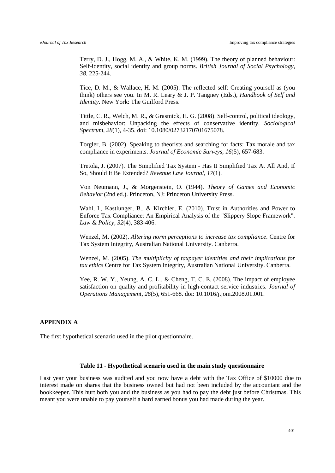<span id="page-39-3"></span>Terry, D. J., Hogg, M. A., & White, K. M. (1999). The theory of planned behaviour: Self-identity, social identity and group norms. *British Journal of Social Psychology, 38*, 225-244.

<span id="page-39-2"></span>Tice, D. M., & Wallace, H. M. (2005). The reflected self: Creating yourself as (you think) others see you. In M. R. Leary & J. P. Tangney (Eds.), *Handbook of Self and Identity*. New York: The Guilford Press.

<span id="page-39-4"></span>Tittle, C. R., Welch, M. R., & Grasmick, H. G. (2008). Self-control, political ideology, and misbehavior: Unpacking the effects of conservative identity. *Sociological Spectrum, 28*(1), 4-35. doi: 10.1080/02732170701675078.

<span id="page-39-1"></span>Torgler, B. (2002). Speaking to theorists and searching for facts: Tax morale and tax compliance in experiments. *Journal of Economic Surveys, 16*(5), 657-683.

<span id="page-39-7"></span>Tretola, J. (2007). The Simplified Tax System - Has It Simplified Tax At All And, If So, Should It Be Extended? *Revenue Law Journal, 17*(1).

<span id="page-39-0"></span>Von Neumann, J., & Morgenstein, O. (1944). *Theory of Games and Economic Behavior* (2nd ed.). Princeton, NJ: Princeton University Press.

<span id="page-39-8"></span>Wahl, I., Kastlunger, B., & Kirchler, E. (2010). Trust in Authorities and Power to Enforce Tax Compliance: An Empirical Analysis of the "Slippery Slope Framework". *Law & Policy, 32*(4), 383-406.

<span id="page-39-5"></span>Wenzel, M. (2002). *Altering norm perceptions to increase tax compliance*. Centre for Tax System Integrity, Australian National University. Canberra.

<span id="page-39-6"></span>Wenzel, M. (2005). *The multiplicity of taxpayer identities and their implications for tax ethics* Centre for Tax System Integrity, Australian National University. Canberra.

<span id="page-39-9"></span>Yee, R. W. Y., Yeung, A. C. L., & Cheng, T. C. E. (2008). The impact of employee satisfaction on quality and profitability in high-contact service industries. *Journal of Operations Management, 26*(5), 651-668. doi: 10.1016/j.jom.2008.01.001.

# **APPENDIX A**

The first hypothetical scenario used in the pilot questionnaire.

#### **Table 11 - Hypothetical scenario used in the main study questionnaire**

Last year your business was audited and you now have a debt with the Tax Office of \$10000 due to interest made on shares that the business owned but had not been included by the accountant and the bookkeeper. This hurt both you and the business as you had to pay the debt just before Christmas. This meant you were unable to pay yourself a hard earned bonus you had made during the year.